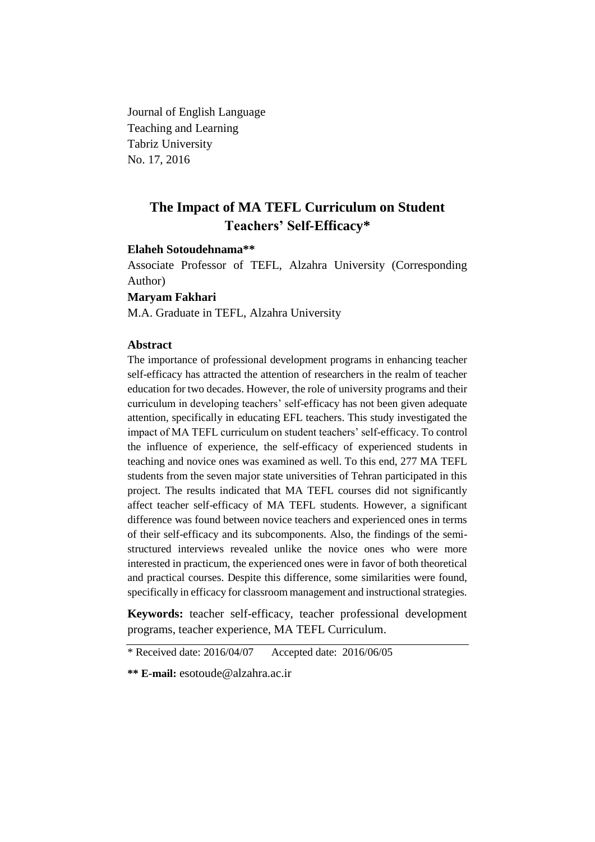Journal of English Language Teaching and Learning Tabriz University No. 17, 2016

# **The Impact of MA TEFL Curriculum on Student Teachers' Self-Efficacy\***

#### **Elaheh Sotoudehnama\*\***

Associate Professor of TEFL, Alzahra University (Corresponding Author)

**Maryam Fakhari**

M.A. Graduate in TEFL, Alzahra University

# **Abstract**

The importance of professional development programs in enhancing teacher self-efficacy has attracted the attention of researchers in the realm of teacher education for two decades. However, the role of university programs and their curriculum in developing teachers' self-efficacy has not been given adequate attention, specifically in educating EFL teachers. This study investigated the impact of MA TEFL curriculum on student teachers' self-efficacy. To control the influence of experience, the self-efficacy of experienced students in teaching and novice ones was examined as well. To this end, 277 MA TEFL students from the seven major state universities of Tehran participated in this project. The results indicated that MA TEFL courses did not significantly affect teacher self-efficacy of MA TEFL students. However, a significant difference was found between novice teachers and experienced ones in terms of their self-efficacy and its subcomponents. Also, the findings of the semistructured interviews revealed unlike the novice ones who were more interested in practicum, the experienced ones were in favor of both theoretical and practical courses. Despite this difference, some similarities were found, specifically in efficacy for classroom management and instructional strategies.

**Keywords:** teacher self-efficacy, teacher professional development programs, teacher experience, MA TEFL Curriculum.

<sup>\*</sup> Received date: 2016/04/07 Accepted date: 2016/06/05

**<sup>\*\*</sup> E-mail:** [esotoude@alzahra.ac.ir](mailto:esotoude@alzahra.ac)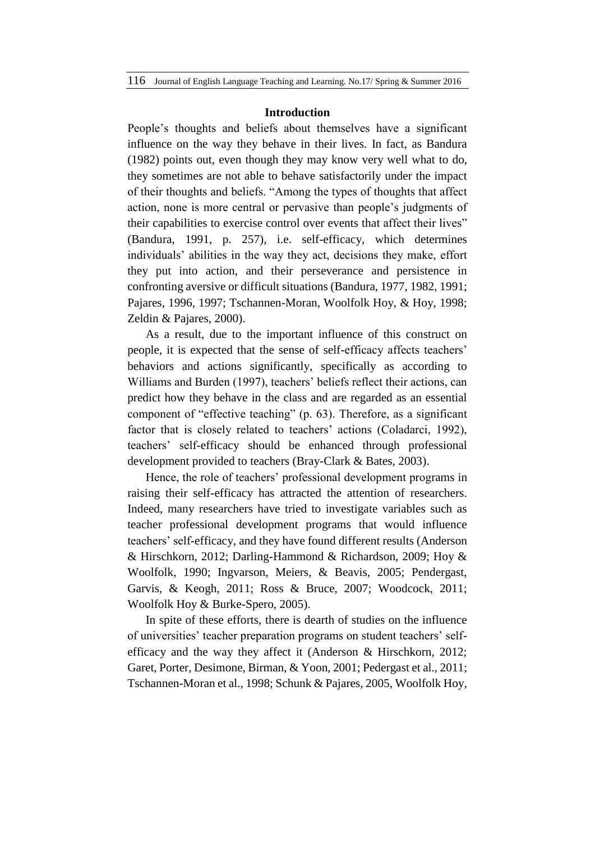#### **Introduction**

People's thoughts and beliefs about themselves have a significant influence on the way they behave in their lives. In fact, as Bandura (1982) points out, even though they may know very well what to do, they sometimes are not able to behave satisfactorily under the impact of their thoughts and beliefs. "Among the types of thoughts that affect action, none is more central or pervasive than people's judgments of their capabilities to exercise control over events that affect their lives" (Bandura, 1991, p. 257), i.e. self-efficacy, which determines individuals' abilities in the way they act, decisions they make, effort they put into action, and their perseverance and persistence in confronting aversive or difficult situations (Bandura, 1977, 1982, 1991; Pajares, 1996, 1997; Tschannen-Moran, Woolfolk Hoy, & Hoy, 1998; Zeldin & Pajares, 2000).

As a result, due to the important influence of this construct on people, it is expected that the sense of self-efficacy affects teachers' behaviors and actions significantly, specifically as according to Williams and Burden (1997), teachers' beliefs reflect their actions, can predict how they behave in the class and are regarded as an essential component of "effective teaching" (p. 63). Therefore, as a significant factor that is closely related to teachers' actions (Coladarci, 1992), teachers' self-efficacy should be enhanced through professional development provided to teachers (Bray-Clark & Bates, 2003).

Hence, the role of teachers' professional development programs in raising their self-efficacy has attracted the attention of researchers. Indeed, many researchers have tried to investigate variables such as teacher professional development programs that would influence teachers' self-efficacy, and they have found different results (Anderson & Hirschkorn, 2012; Darling-Hammond & Richardson, 2009; Hoy & Woolfolk, 1990; Ingvarson, Meiers, & Beavis, 2005; Pendergast, Garvis, & Keogh, 2011; Ross & Bruce, 2007; Woodcock, 2011; Woolfolk Hoy & Burke-Spero, 2005).

In spite of these efforts, there is dearth of studies on the influence of universities' teacher preparation programs on student teachers' selfefficacy and the way they affect it (Anderson & Hirschkorn, 2012; Garet, Porter, Desimone, Birman, & Yoon, 2001; Pedergast et al., 2011; Tschannen-Moran et al., 1998; Schunk & Pajares, 2005, Woolfolk Hoy,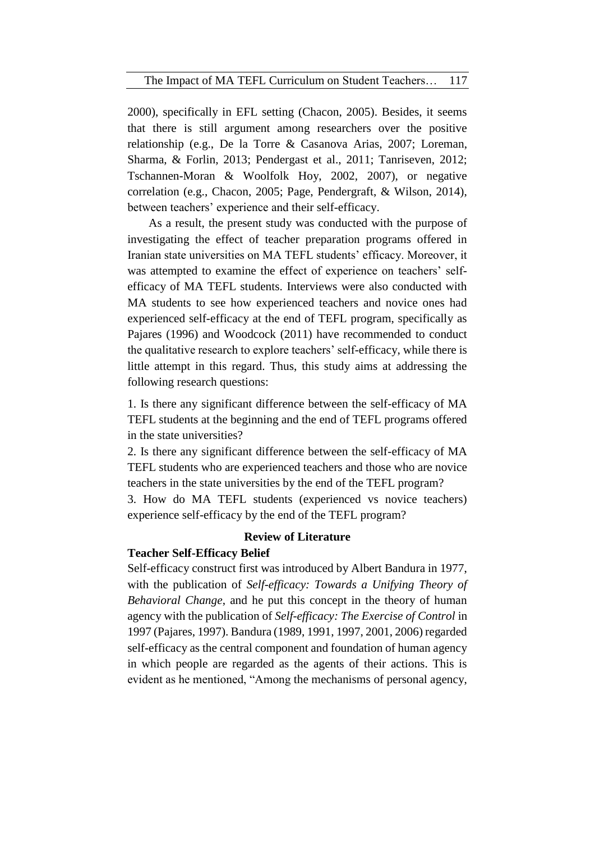2000), specifically in EFL setting (Chacon, 2005). Besides, it seems that there is still argument among researchers over the positive relationship (e.g., De la Torre & Casanova Arias, 2007; Loreman, Sharma, & Forlin, 2013; Pendergast et al., 2011; Tanriseven, 2012; Tschannen-Moran & Woolfolk Hoy, 2002, 2007), or negative correlation (e.g., Chacon, 2005; Page, Pendergraft, & Wilson, 2014), between teachers' experience and their self-efficacy.

As a result, the present study was conducted with the purpose of investigating the effect of teacher preparation programs offered in Iranian state universities on MA TEFL students' efficacy. Moreover, it was attempted to examine the effect of experience on teachers' selfefficacy of MA TEFL students. Interviews were also conducted with MA students to see how experienced teachers and novice ones had experienced self-efficacy at the end of TEFL program, specifically as Pajares (1996) and Woodcock (2011) have recommended to conduct the qualitative research to explore teachers' self-efficacy, while there is little attempt in this regard. Thus, this study aims at addressing the following research questions:

1. Is there any significant difference between the self-efficacy of MA TEFL students at the beginning and the end of TEFL programs offered in the state universities?

2. Is there any significant difference between the self-efficacy of MA TEFL students who are experienced teachers and those who are novice teachers in the state universities by the end of the TEFL program?

3. How do MA TEFL students (experienced vs novice teachers) experience self-efficacy by the end of the TEFL program?

## **Review of Literature**

# **Teacher Self-Efficacy Belief**

Self-efficacy construct first was introduced by Albert Bandura in 1977, with the publication of *Self-efficacy: Towards a Unifying Theory of Behavioral Change*, and he put this concept in the theory of human agency with the publication of *Self-efficacy: The Exercise of Control* in 1997 (Pajares, 1997). Bandura (1989, 1991, 1997, 2001, 2006) regarded self-efficacy as the central component and foundation of human agency in which people are regarded as the agents of their actions. This is evident as he mentioned, "Among the mechanisms of personal agency,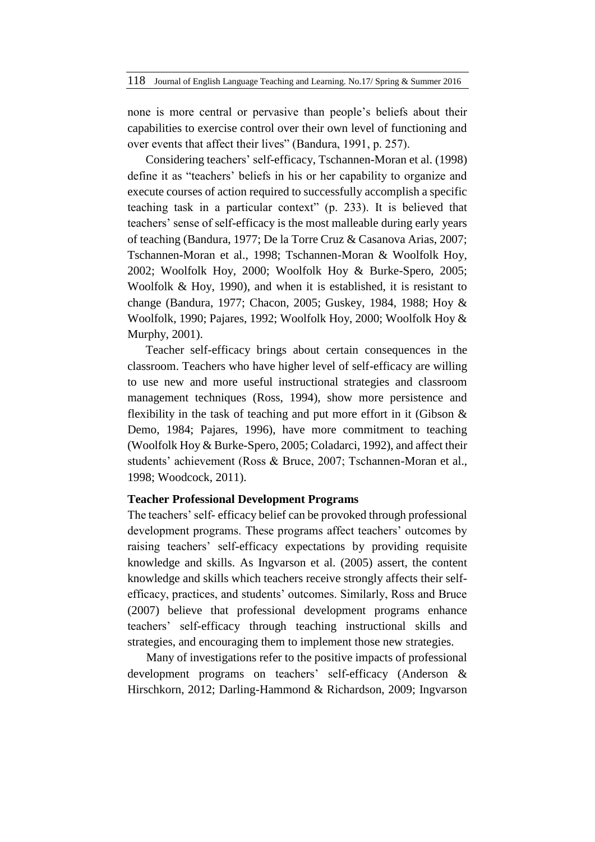none is more central or pervasive than people's beliefs about their capabilities to exercise control over their own level of functioning and over events that affect their lives" (Bandura, 1991, p. 257).

Considering teachers' self-efficacy, Tschannen-Moran et al. (1998) define it as "teachers' beliefs in his or her capability to organize and execute courses of action required to successfully accomplish a specific teaching task in a particular context" (p. 233). It is believed that teachers' sense of self-efficacy is the most malleable during early years of teaching (Bandura, 1977; De la Torre Cruz & Casanova Arias, 2007; Tschannen-Moran et al., 1998; Tschannen-Moran & Woolfolk Hoy, 2002; Woolfolk Hoy, 2000; Woolfolk Hoy & Burke-Spero, 2005; Woolfolk & Hoy, 1990), and when it is established, it is resistant to change (Bandura, 1977; Chacon, 2005; Guskey, 1984, 1988; Hoy & Woolfolk, 1990; Pajares, 1992; Woolfolk Hoy, 2000; Woolfolk Hoy & Murphy, 2001).

Teacher self-efficacy brings about certain consequences in the classroom. Teachers who have higher level of self-efficacy are willing to use new and more useful instructional strategies and classroom management techniques (Ross, 1994), show more persistence and flexibility in the task of teaching and put more effort in it (Gibson  $\&$ Demo, 1984; Pajares, 1996), have more commitment to teaching (Woolfolk Hoy & Burke-Spero, 2005; Coladarci, 1992), and affect their students' achievement (Ross & Bruce, 2007; Tschannen-Moran et al., 1998; Woodcock, 2011).

## **Teacher Professional Development Programs**

The teachers' self- efficacy belief can be provoked through professional development programs. These programs affect teachers' outcomes by raising teachers' self-efficacy expectations by providing requisite knowledge and skills. As Ingvarson et al. (2005) assert, the content knowledge and skills which teachers receive strongly affects their selfefficacy, practices, and students' outcomes. Similarly, Ross and Bruce (2007) believe that professional development programs enhance teachers' self-efficacy through teaching instructional skills and strategies, and encouraging them to implement those new strategies.

Many of investigations refer to the positive impacts of professional development programs on teachers' self-efficacy (Anderson & Hirschkorn, 2012; Darling-Hammond & Richardson, 2009; Ingvarson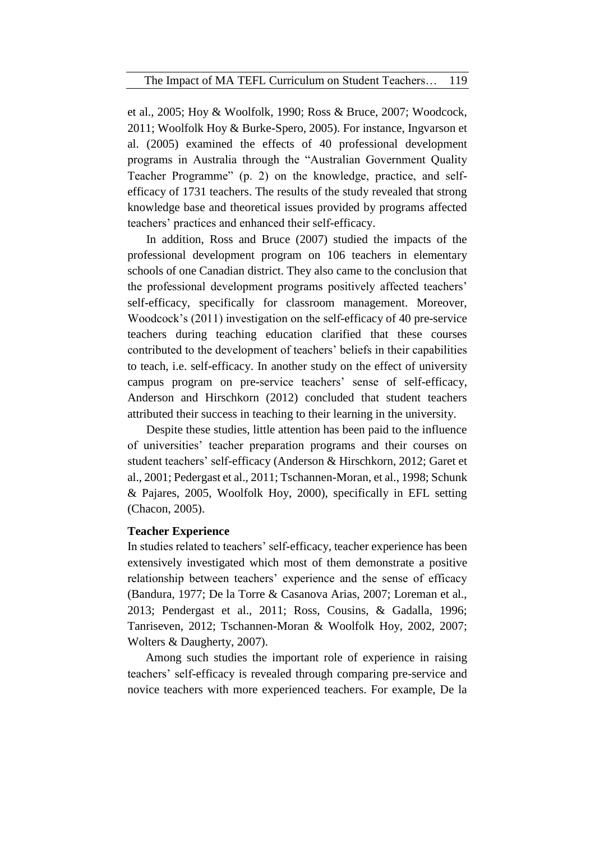et al., 2005; Hoy & Woolfolk, 1990; Ross & Bruce, 2007; Woodcock, 2011; Woolfolk Hoy & Burke-Spero, 2005). For instance, Ingvarson et al. (2005) examined the effects of 40 professional development programs in Australia through the "Australian Government Quality Teacher Programme" (p. 2) on the knowledge, practice, and selfefficacy of 1731 teachers. The results of the study revealed that strong knowledge base and theoretical issues provided by programs affected teachers' practices and enhanced their self-efficacy.

In addition, Ross and Bruce (2007) studied the impacts of the professional development program on 106 teachers in elementary schools of one Canadian district. They also came to the conclusion that the professional development programs positively affected teachers' self-efficacy, specifically for classroom management. Moreover, Woodcock's (2011) investigation on the self-efficacy of 40 pre-service teachers during teaching education clarified that these courses contributed to the development of teachers' beliefs in their capabilities to teach, i.e. self-efficacy. In another study on the effect of university campus program on pre-service teachers' sense of self-efficacy, Anderson and Hirschkorn (2012) concluded that student teachers attributed their success in teaching to their learning in the university.

Despite these studies, little attention has been paid to the influence of universities' teacher preparation programs and their courses on student teachers' self-efficacy (Anderson & Hirschkorn, 2012; Garet et al., 2001; Pedergast et al., 2011; Tschannen-Moran, et al., 1998; Schunk & Pajares, 2005, Woolfolk Hoy, 2000), specifically in EFL setting (Chacon, 2005).

# **Teacher Experience**

In studies related to teachers' self-efficacy, teacher experience has been extensively investigated which most of them demonstrate a positive relationship between teachers' experience and the sense of efficacy (Bandura, 1977; De la Torre & Casanova Arias, 2007; Loreman et al., 2013; Pendergast et al., 2011; Ross, Cousins, & Gadalla, 1996; Tanriseven, 2012; Tschannen-Moran & Woolfolk Hoy, 2002, 2007; Wolters & Daugherty, 2007).

Among such studies the important role of experience in raising teachers' self-efficacy is revealed through comparing pre-service and novice teachers with more experienced teachers. For example, De la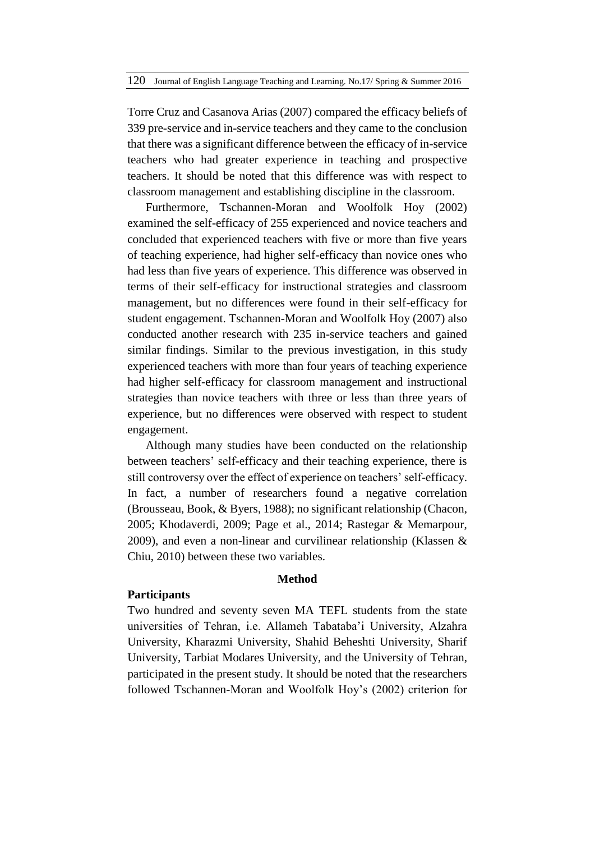Torre Cruz and Casanova Arias (2007) compared the efficacy beliefs of 339 pre-service and in-service teachers and they came to the conclusion that there was a significant difference between the efficacy of in-service teachers who had greater experience in teaching and prospective teachers. It should be noted that this difference was with respect to classroom management and establishing discipline in the classroom.

Furthermore, Tschannen-Moran and Woolfolk Hoy (2002) examined the self-efficacy of 255 experienced and novice teachers and concluded that experienced teachers with five or more than five years of teaching experience, had higher self-efficacy than novice ones who had less than five years of experience. This difference was observed in terms of their self-efficacy for instructional strategies and classroom management, but no differences were found in their self-efficacy for student engagement. Tschannen-Moran and Woolfolk Hoy (2007) also conducted another research with 235 in-service teachers and gained similar findings. Similar to the previous investigation, in this study experienced teachers with more than four years of teaching experience had higher self-efficacy for classroom management and instructional strategies than novice teachers with three or less than three years of experience, but no differences were observed with respect to student engagement.

Although many studies have been conducted on the relationship between teachers' self-efficacy and their teaching experience, there is still controversy over the effect of experience on teachers' self-efficacy. In fact, a number of researchers found a negative correlation (Brousseau, Book, & Byers, 1988); no significant relationship (Chacon, 2005; Khodaverdi, 2009; Page et al., 2014; Rastegar & Memarpour, 2009), and even a non-linear and curvilinear relationship (Klassen & Chiu, 2010) between these two variables.

#### **Method**

#### **Participants**

Two hundred and seventy seven MA TEFL students from the state universities of Tehran, i.e. Allameh Tabataba'i University, Alzahra University, Kharazmi University, Shahid Beheshti University, Sharif University, Tarbiat Modares University, and the University of Tehran, participated in the present study. It should be noted that the researchers followed Tschannen-Moran and Woolfolk Hoy's (2002) criterion for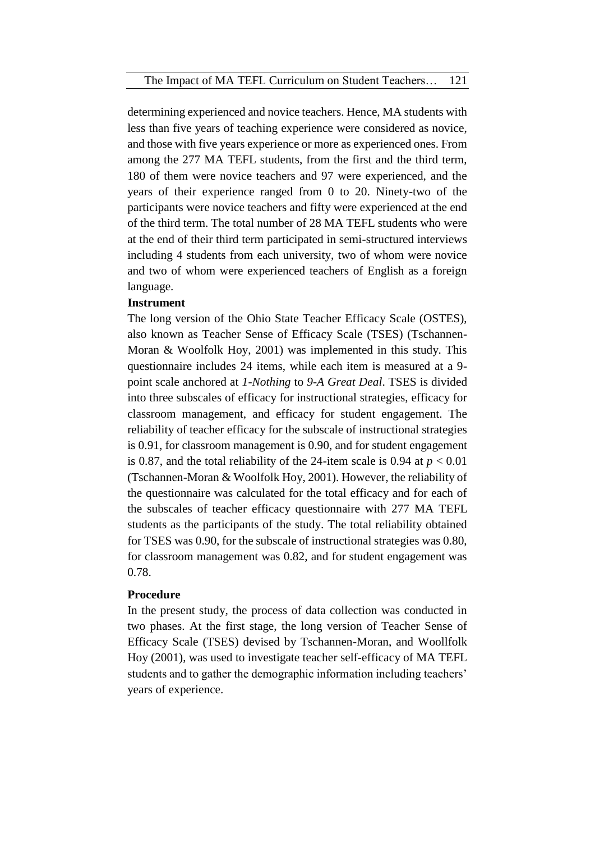determining experienced and novice teachers. Hence, MA students with less than five years of teaching experience were considered as novice, and those with five years experience or more as experienced ones. From among the 277 MA TEFL students, from the first and the third term, 180 of them were novice teachers and 97 were experienced, and the years of their experience ranged from 0 to 20. Ninety-two of the participants were novice teachers and fifty were experienced at the end of the third term. The total number of 28 MA TEFL students who were at the end of their third term participated in semi-structured interviews including 4 students from each university, two of whom were novice and two of whom were experienced teachers of English as a foreign language.

# **Instrument**

The long version of the Ohio State Teacher Efficacy Scale (OSTES), also known as Teacher Sense of Efficacy Scale (TSES) (Tschannen-Moran & Woolfolk Hoy, 2001) was implemented in this study. This questionnaire includes 24 items, while each item is measured at a 9 point scale anchored at *1-Nothing* to *9-A Great Deal*. TSES is divided into three subscales of efficacy for instructional strategies, efficacy for classroom management, and efficacy for student engagement. The reliability of teacher efficacy for the subscale of instructional strategies is 0.91, for classroom management is 0.90, and for student engagement is 0.87, and the total reliability of the 24-item scale is 0.94 at  $p < 0.01$ (Tschannen-Moran & Woolfolk Hoy, 2001). However, the reliability of the questionnaire was calculated for the total efficacy and for each of the subscales of teacher efficacy questionnaire with 277 MA TEFL students as the participants of the study. The total reliability obtained for TSES was 0.90, for the subscale of instructional strategies was 0.80, for classroom management was 0.82, and for student engagement was 0.78.

#### **Procedure**

In the present study, the process of data collection was conducted in two phases. At the first stage, the long version of Teacher Sense of Efficacy Scale (TSES) devised by Tschannen-Moran, and Woollfolk Hoy (2001), was used to investigate teacher self-efficacy of MA TEFL students and to gather the demographic information including teachers' years of experience.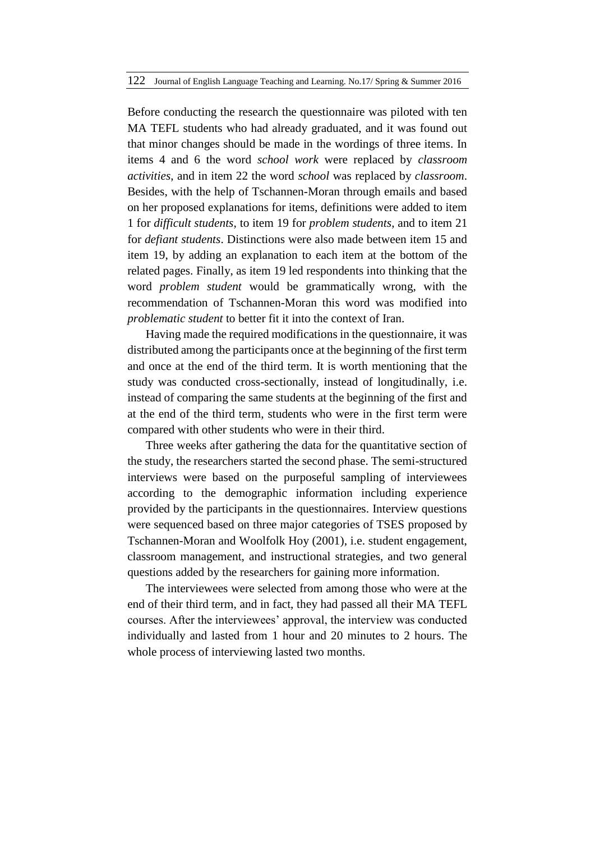Before conducting the research the questionnaire was piloted with ten MA TEFL students who had already graduated, and it was found out that minor changes should be made in the wordings of three items. In items 4 and 6 the word *school work* were replaced by *classroom activities*, and in item 22 the word *school* was replaced by *classroom*. Besides, with the help of Tschannen-Moran through emails and based on her proposed explanations for items, definitions were added to item 1 for *difficult students*, to item 19 for *problem students*, and to item 21 for *defiant students*. Distinctions were also made between item 15 and item 19, by adding an explanation to each item at the bottom of the related pages. Finally, as item 19 led respondents into thinking that the word *problem student* would be grammatically wrong, with the recommendation of Tschannen-Moran this word was modified into *problematic student* to better fit it into the context of Iran.

Having made the required modifications in the questionnaire, it was distributed among the participants once at the beginning of the first term and once at the end of the third term. It is worth mentioning that the study was conducted cross-sectionally, instead of longitudinally, i.e. instead of comparing the same students at the beginning of the first and at the end of the third term, students who were in the first term were compared with other students who were in their third.

Three weeks after gathering the data for the quantitative section of the study, the researchers started the second phase. The semi-structured interviews were based on the purposeful sampling of interviewees according to the demographic information including experience provided by the participants in the questionnaires. Interview questions were sequenced based on three major categories of TSES proposed by Tschannen-Moran and Woolfolk Hoy (2001), i.e. student engagement, classroom management, and instructional strategies, and two general questions added by the researchers for gaining more information.

The interviewees were selected from among those who were at the end of their third term, and in fact, they had passed all their MA TEFL courses. After the interviewees' approval, the interview was conducted individually and lasted from 1 hour and 20 minutes to 2 hours. The whole process of interviewing lasted two months.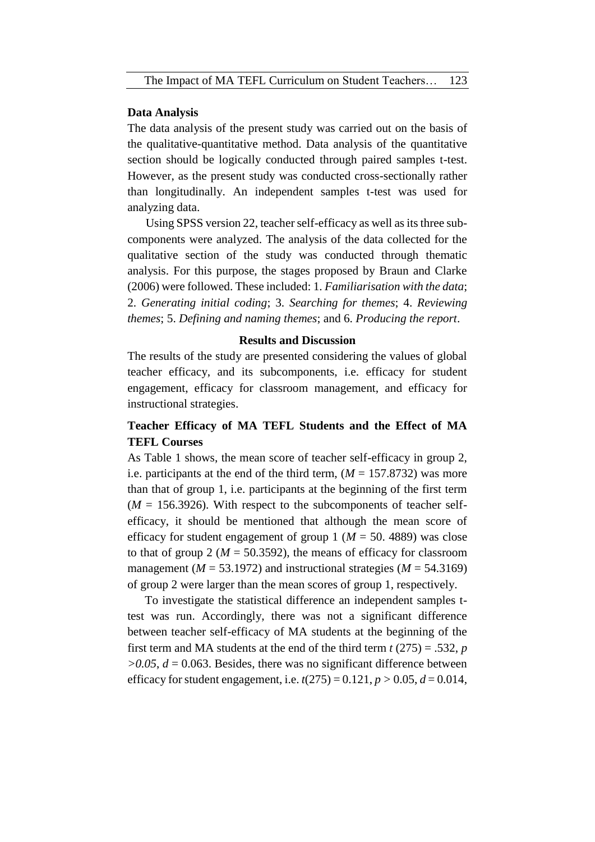#### **Data Analysis**

The data analysis of the present study was carried out on the basis of the qualitative-quantitative method. Data analysis of the quantitative section should be logically conducted through paired samples t-test. However, as the present study was conducted cross-sectionally rather than longitudinally. An independent samples t-test was used for analyzing data.

Using SPSS version 22, teacher self-efficacy as well as its three subcomponents were analyzed. The analysis of the data collected for the qualitative section of the study was conducted through thematic analysis. For this purpose, the stages proposed by Braun and Clarke (2006) were followed. These included: 1. *Familiarisation with the data*; 2. *Generating initial coding*; 3. *Searching for themes*; 4. *Reviewing themes*; 5. *Defining and naming themes*; and 6. *Producing the report*.

#### **Results and Discussion**

The results of the study are presented considering the values of global teacher efficacy, and its subcomponents, i.e. efficacy for student engagement, efficacy for classroom management, and efficacy for instructional strategies.

# **Teacher Efficacy of MA TEFL Students and the Effect of MA TEFL Courses**

As Table 1 shows, the mean score of teacher self-efficacy in group 2, i.e. participants at the end of the third term,  $(M = 157.8732)$  was more than that of group 1, i.e. participants at the beginning of the first term  $(M = 156.3926)$ . With respect to the subcomponents of teacher selfefficacy, it should be mentioned that although the mean score of efficacy for student engagement of group 1 ( $M = 50$ . 4889) was close to that of group 2 ( $M = 50.3592$ ), the means of efficacy for classroom management ( $M = 53.1972$ ) and instructional strategies ( $M = 54.3169$ ) of group 2 were larger than the mean scores of group 1, respectively.

To investigate the statistical difference an independent samples ttest was run. Accordingly, there was not a significant difference between teacher self-efficacy of MA students at the beginning of the first term and MA students at the end of the third term  $t$  (275) = .532,  $p$  $>0.05$ ,  $d = 0.063$ . Besides, there was no significant difference between efficacy for student engagement, i.e.  $t(275) = 0.121$ ,  $p > 0.05$ ,  $d = 0.014$ ,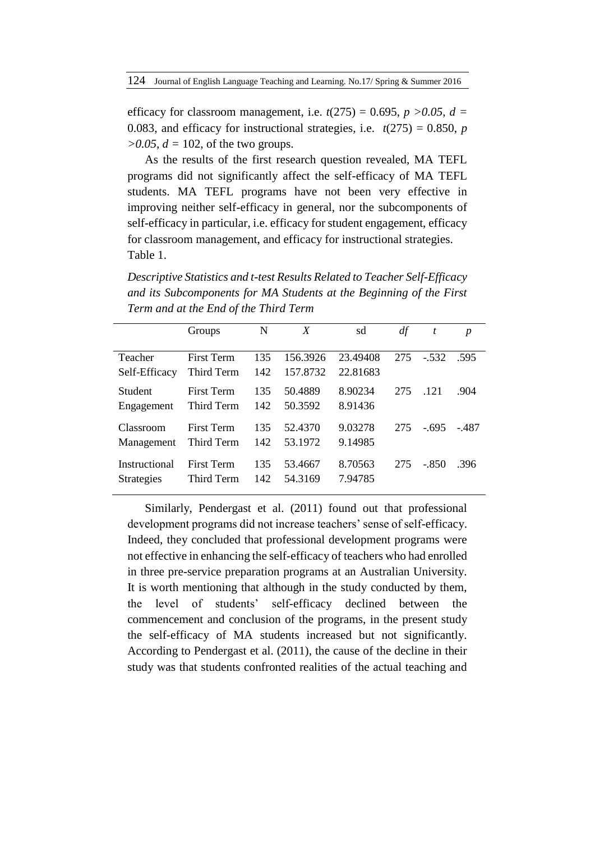efficacy for classroom management, i.e.  $t(275) = 0.695$ ,  $p > 0.05$ ,  $d =$ 0.083, and efficacy for instructional strategies, i.e.  $t(275) = 0.850$ , *p >0.05, d =* 102, of the two groups.

As the results of the first research question revealed, MA TEFL programs did not significantly affect the self-efficacy of MA TEFL students. MA TEFL programs have not been very effective in improving neither self-efficacy in general, nor the subcomponents of self-efficacy in particular, i.e. efficacy for student engagement, efficacy for classroom management, and efficacy for instructional strategies. Table 1.

*Descriptive Statistics and t-test Results Related to Teacher Self-Efficacy and its Subcomponents for MA Students at the Beginning of the First Term and at the End of the Third Term* 

|                   | Groups            | N   | X        | sd       | df  | t       | $\boldsymbol{p}$ |
|-------------------|-------------------|-----|----------|----------|-----|---------|------------------|
|                   |                   |     |          |          |     |         |                  |
| Teacher           | <b>First Term</b> | 135 | 156.3926 | 23.49408 | 275 | $-.532$ | .595             |
| Self-Efficacy     | Third Term        | 142 | 157.8732 | 22.81683 |     |         |                  |
| <b>Student</b>    | <b>First Term</b> | 135 | 50.4889  | 8.90234  | 275 | .121    | .904             |
| Engagement        | Third Term        | 142 | 50.3592  | 8.91436  |     |         |                  |
|                   |                   |     |          |          |     |         |                  |
| Classroom         | <b>First Term</b> | 135 | 52.4370  | 9.03278  | 275 | $-.695$ | - 487            |
| Management        | Third Term        | 142 | 53.1972  | 9.14985  |     |         |                  |
| Instructional     | <b>First Term</b> | 135 | 53.4667  | 8.70563  | 275 | $-850$  | .396             |
| <b>Strategies</b> | Third Term        | 142 | 54.3169  | 7.94785  |     |         |                  |
|                   |                   |     |          |          |     |         |                  |

Similarly, Pendergast et al. (2011) found out that professional development programs did not increase teachers' sense of self-efficacy. Indeed, they concluded that professional development programs were not effective in enhancing the self-efficacy of teachers who had enrolled in three pre-service preparation programs at an Australian University. It is worth mentioning that although in the study conducted by them, the level of students' self-efficacy declined between the commencement and conclusion of the programs, in the present study the self-efficacy of MA students increased but not significantly. According to Pendergast et al. (2011), the cause of the decline in their study was that students confronted realities of the actual teaching and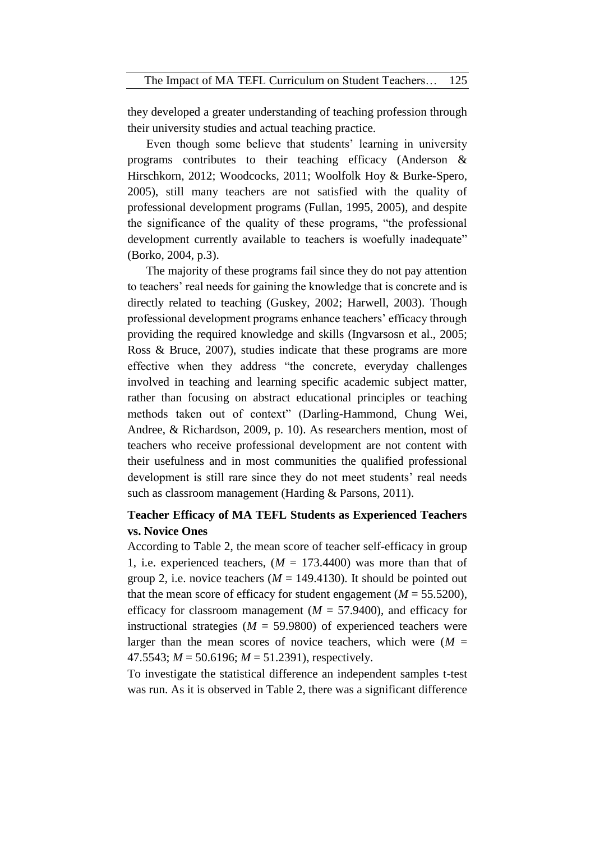they developed a greater understanding of teaching profession through their university studies and actual teaching practice.

Even though some believe that students' learning in university programs contributes to their teaching efficacy (Anderson & Hirschkorn, 2012; Woodcocks, 2011; Woolfolk Hoy & Burke-Spero, 2005), still many teachers are not satisfied with the quality of professional development programs (Fullan, 1995, 2005), and despite the significance of the quality of these programs, "the professional development currently available to teachers is woefully inadequate" (Borko, 2004, p.3).

The majority of these programs fail since they do not pay attention to teachers' real needs for gaining the knowledge that is concrete and is directly related to teaching (Guskey, 2002; Harwell, 2003). Though professional development programs enhance teachers' efficacy through providing the required knowledge and skills (Ingvarsosn et al., 2005; Ross & Bruce, 2007), studies indicate that these programs are more effective when they address "the concrete, everyday challenges involved in teaching and learning specific academic subject matter, rather than focusing on abstract educational principles or teaching methods taken out of context" (Darling-Hammond, Chung Wei, Andree, & Richardson, 2009, p. 10). As researchers mention, most of teachers who receive professional development are not content with their usefulness and in most communities the qualified professional development is still rare since they do not meet students' real needs such as classroom management (Harding & Parsons, 2011).

# **Teacher Efficacy of MA TEFL Students as Experienced Teachers vs. Novice Ones**

According to Table 2, the mean score of teacher self-efficacy in group 1, i.e. experienced teachers,  $(M = 173.4400)$  was more than that of group 2, i.e. novice teachers  $(M = 149.4130)$ . It should be pointed out that the mean score of efficacy for student engagement ( $M = 55.5200$ ), efficacy for classroom management ( $M = 57.9400$ ), and efficacy for instructional strategies ( $M = 59.9800$ ) of experienced teachers were larger than the mean scores of novice teachers, which were  $(M =$ 47.5543; *M* = 50.6196; *M* = 51.2391), respectively.

To investigate the statistical difference an independent samples t-test was run. As it is observed in Table 2, there was a significant difference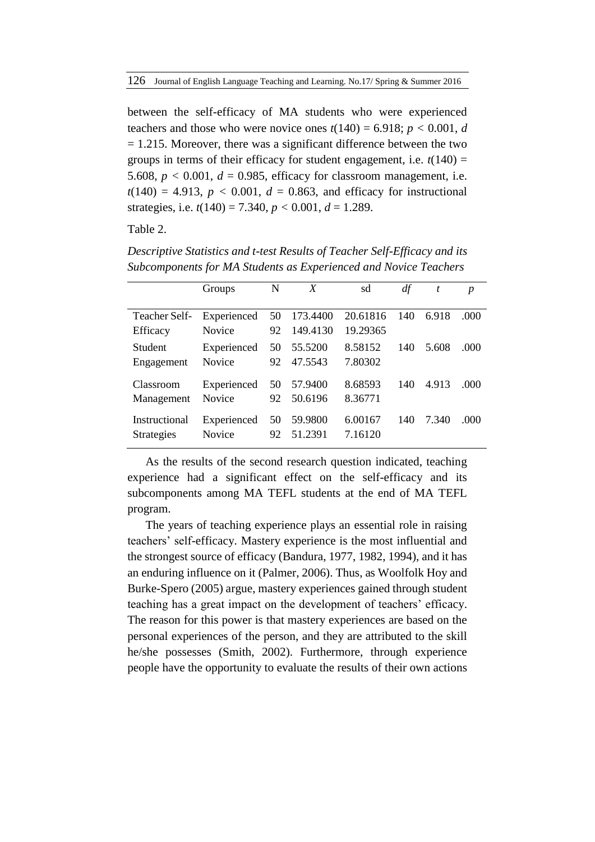between the self-efficacy of MA students who were experienced teachers and those who were novice ones  $t(140) = 6.918$ ;  $p < 0.001$ , *d*  $= 1.215$ . Moreover, there was a significant difference between the two groups in terms of their efficacy for student engagement, i.e.  $t(140)$  = 5.608,  $p < 0.001$ ,  $d = 0.985$ , efficacy for classroom management, i.e.  $t(140) = 4.913$ ,  $p < 0.001$ ,  $d = 0.863$ , and efficacy for instructional strategies, i.e.  $t(140) = 7.340$ ,  $p < 0.001$ ,  $d = 1.289$ .

Table 2.

*Descriptive Statistics and t-test Results of Teacher Self-Efficacy and its Subcomponents for MA Students as Experienced and Novice Teachers*

|                             | Groups                       | N        | X                    | sd                   | df  | t     | $\boldsymbol{p}$ |
|-----------------------------|------------------------------|----------|----------------------|----------------------|-----|-------|------------------|
| Teacher Self-               | Experienced<br><b>Novice</b> | 50<br>92 | 173.4400<br>149.4130 | 20.61816<br>19.29365 | 140 | 6.918 | .000             |
| Efficacy<br>Student         | Experienced<br><b>Novice</b> | 50<br>92 | 55.5200<br>47.5543   | 8.58152<br>7.80302   | 140 | 5.608 | .000             |
| Engagement<br>Classroom     | Experienced                  | 50       | 57.9400              | 8.68593              | 140 | 4.913 | .000             |
| Management<br>Instructional | Novice<br>Experienced        | 92<br>50 | 50.6196<br>59.9800   | 8.36771<br>6.00167   | 140 | 7.340 | .000             |
| <b>Strategies</b>           | <b>Novice</b>                | 92       | 51.2391              | 7.16120              |     |       |                  |

As the results of the second research question indicated, teaching experience had a significant effect on the self-efficacy and its subcomponents among MA TEFL students at the end of MA TEFL program.

The years of teaching experience plays an essential role in raising teachers' self-efficacy. Mastery experience is the most influential and the strongest source of efficacy (Bandura, 1977, 1982, 1994), and it has an enduring influence on it (Palmer, 2006). Thus, as Woolfolk Hoy and Burke-Spero (2005) argue, mastery experiences gained through student teaching has a great impact on the development of teachers' efficacy. The reason for this power is that mastery experiences are based on the personal experiences of the person, and they are attributed to the skill he/she possesses (Smith, 2002). Furthermore, through experience people have the opportunity to evaluate the results of their own actions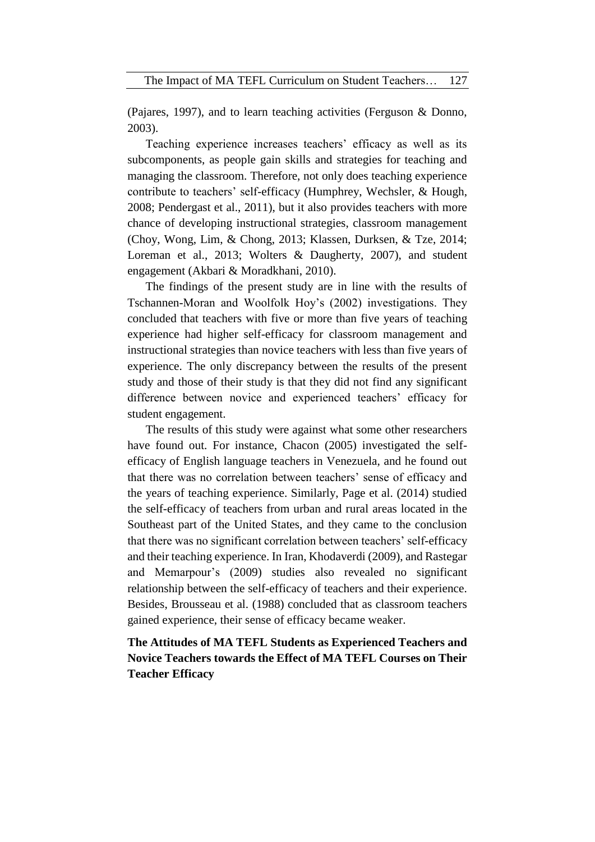(Pajares, 1997), and to learn teaching activities (Ferguson & Donno, 2003).

Teaching experience increases teachers' efficacy as well as its subcomponents, as people gain skills and strategies for teaching and managing the classroom. Therefore, not only does teaching experience contribute to teachers' self-efficacy (Humphrey, Wechsler, & Hough, 2008; Pendergast et al., 2011), but it also provides teachers with more chance of developing instructional strategies, classroom management (Choy, Wong, Lim, & Chong, 2013; Klassen, Durksen, & Tze, 2014; Loreman et al., 2013; Wolters & Daugherty, 2007), and student engagement (Akbari & Moradkhani, 2010).

The findings of the present study are in line with the results of Tschannen-Moran and Woolfolk Hoy's (2002) investigations. They concluded that teachers with five or more than five years of teaching experience had higher self-efficacy for classroom management and instructional strategies than novice teachers with less than five years of experience. The only discrepancy between the results of the present study and those of their study is that they did not find any significant difference between novice and experienced teachers' efficacy for student engagement.

The results of this study were against what some other researchers have found out. For instance, Chacon (2005) investigated the selfefficacy of English language teachers in Venezuela, and he found out that there was no correlation between teachers' sense of efficacy and the years of teaching experience. Similarly, Page et al. (2014) studied the self-efficacy of teachers from urban and rural areas located in the Southeast part of the United States, and they came to the conclusion that there was no significant correlation between teachers' self-efficacy and their teaching experience. In Iran, Khodaverdi (2009), and Rastegar and Memarpour's (2009) studies also revealed no significant relationship between the self-efficacy of teachers and their experience. Besides, Brousseau et al. (1988) concluded that as classroom teachers gained experience, their sense of efficacy became weaker.

**The Attitudes of MA TEFL Students as Experienced Teachers and Novice Teachers towards the Effect of MA TEFL Courses on Their Teacher Efficacy**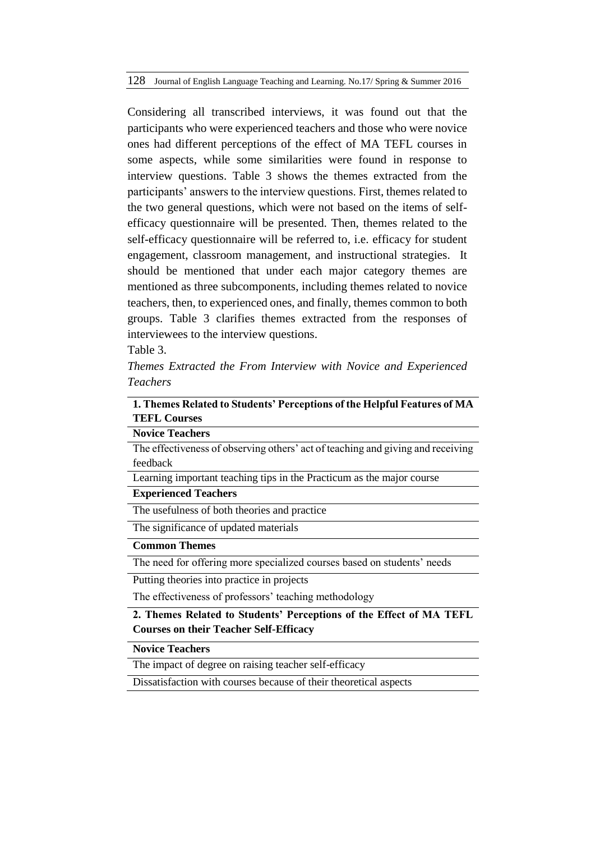Considering all transcribed interviews, it was found out that the participants who were experienced teachers and those who were novice ones had different perceptions of the effect of MA TEFL courses in some aspects, while some similarities were found in response to interview questions. Table 3 shows the themes extracted from the participants' answers to the interview questions. First, themes related to the two general questions, which were not based on the items of selfefficacy questionnaire will be presented. Then, themes related to the self-efficacy questionnaire will be referred to, i.e. efficacy for student engagement, classroom management, and instructional strategies. It should be mentioned that under each major category themes are mentioned as three subcomponents, including themes related to novice teachers, then, to experienced ones, and finally, themes common to both groups. Table 3 clarifies themes extracted from the responses of interviewees to the interview questions.

Table 3.

*Themes Extracted the From Interview with Novice and Experienced Teachers*

## **1. Themes Related to Students' Perceptions of the Helpful Features of MA TEFL Courses**

| <b>Novice Teachers</b>                                                          |
|---------------------------------------------------------------------------------|
| The effectiveness of observing others' act of teaching and giving and receiving |
| feedback                                                                        |
| Learning important teaching tips in the Practicum as the major course           |
| <b>Experienced Teachers</b>                                                     |
| The usefulness of both theories and practice                                    |
| The significance of updated materials                                           |
| Common Themes                                                                   |

**Common Themes**

The need for offering more specialized courses based on students' needs

Putting theories into practice in projects

The effectiveness of professors' teaching methodology

|  |                                               | 2. Themes Related to Students' Perceptions of the Effect of MA TEFL |  |  |
|--|-----------------------------------------------|---------------------------------------------------------------------|--|--|
|  | <b>Courses on their Teacher Self-Efficacy</b> |                                                                     |  |  |

#### **Novice Teachers**

The impact of degree on raising teacher self-efficacy

Dissatisfaction with courses because of their theoretical aspects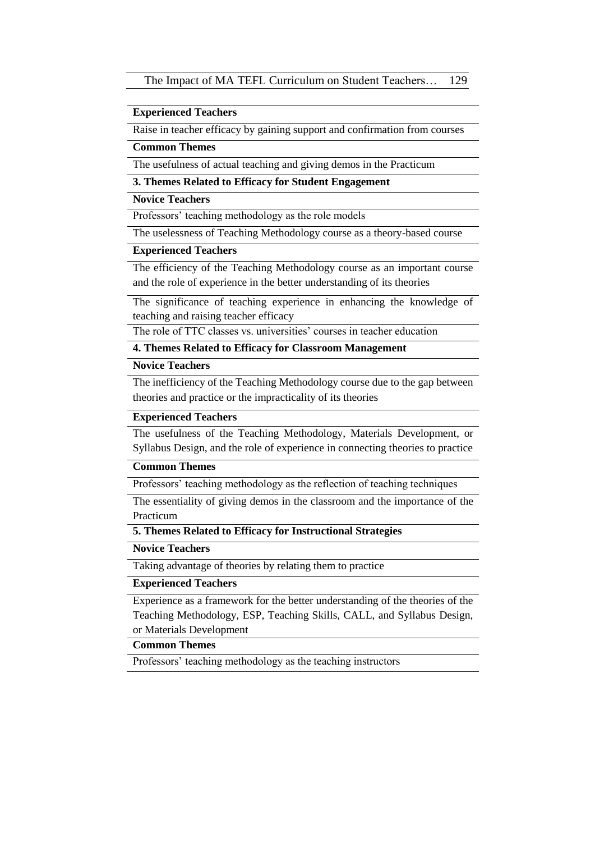#### **Experienced Teachers**

Raise in teacher efficacy by gaining support and confirmation from courses

### **Common Themes**

The usefulness of actual teaching and giving demos in the Practicum

#### **3. Themes Related to Efficacy for Student Engagement**

#### **Novice Teachers**

Professors' teaching methodology as the role models

The uselessness of Teaching Methodology course as a theory-based course

#### **Experienced Teachers**

The efficiency of the Teaching Methodology course as an important course and the role of experience in the better understanding of its theories

The significance of teaching experience in enhancing the knowledge of teaching and raising teacher efficacy

The role of TTC classes vs. universities' courses in teacher education

# **4. Themes Related to Efficacy for Classroom Management**

#### **Novice Teachers**

The inefficiency of the Teaching Methodology course due to the gap between theories and practice or the impracticality of its theories

## **Experienced Teachers**

The usefulness of the Teaching Methodology, Materials Development, or Syllabus Design, and the role of experience in connecting theories to practice

#### **Common Themes**

Professors' teaching methodology as the reflection of teaching techniques

The essentiality of giving demos in the classroom and the importance of the Practicum

## **5. Themes Related to Efficacy for Instructional Strategies**

#### **Novice Teachers**

Taking advantage of theories by relating them to practice

## **Experienced Teachers**

Experience as a framework for the better understanding of the theories of the Teaching Methodology, ESP, Teaching Skills, CALL, and Syllabus Design, or Materials Development

#### **Common Themes**

Professors' teaching methodology as the teaching instructors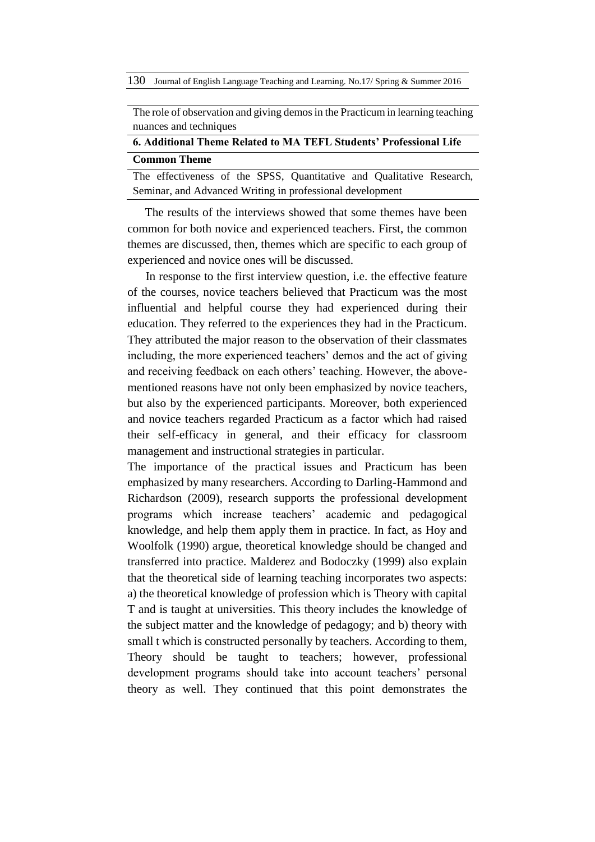130 Journal of English Language Teaching and Learning. No.17/ Spring & Summer 2016

The role of observation and giving demos in the Practicum in learning teaching nuances and techniques

# **6. Additional Theme Related to MA TEFL Students' Professional Life**

# **Common Theme**

The effectiveness of the SPSS, Quantitative and Qualitative Research, Seminar, and Advanced Writing in professional development

The results of the interviews showed that some themes have been common for both novice and experienced teachers. First, the common themes are discussed, then, themes which are specific to each group of experienced and novice ones will be discussed.

In response to the first interview question, i.e. the effective feature of the courses, novice teachers believed that Practicum was the most influential and helpful course they had experienced during their education. They referred to the experiences they had in the Practicum. They attributed the major reason to the observation of their classmates including, the more experienced teachers' demos and the act of giving and receiving feedback on each others' teaching. However, the abovementioned reasons have not only been emphasized by novice teachers, but also by the experienced participants. Moreover, both experienced and novice teachers regarded Practicum as a factor which had raised their self-efficacy in general, and their efficacy for classroom management and instructional strategies in particular.

The importance of the practical issues and Practicum has been emphasized by many researchers. According to Darling-Hammond and Richardson (2009), research supports the professional development programs which increase teachers' academic and pedagogical knowledge, and help them apply them in practice. In fact, as Hoy and Woolfolk (1990) argue, theoretical knowledge should be changed and transferred into practice. Malderez and Bodoczky (1999) also explain that the theoretical side of learning teaching incorporates two aspects: a) the theoretical knowledge of profession which is Theory with capital T and is taught at universities. This theory includes the knowledge of the subject matter and the knowledge of pedagogy; and b) theory with small t which is constructed personally by teachers. According to them, Theory should be taught to teachers; however, professional development programs should take into account teachers' personal theory as well. They continued that this point demonstrates the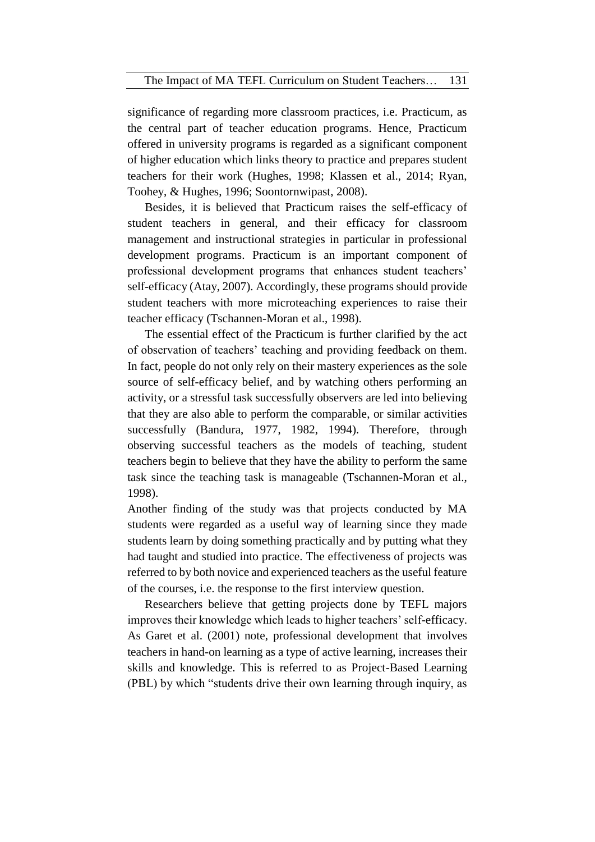significance of regarding more classroom practices, i.e. Practicum, as the central part of teacher education programs. Hence, Practicum offered in university programs is regarded as a significant component of higher education which links theory to practice and prepares student teachers for their work (Hughes, 1998; Klassen et al., 2014; Ryan, Toohey, & Hughes, 1996; Soontornwipast, 2008).

Besides, it is believed that Practicum raises the self-efficacy of student teachers in general, and their efficacy for classroom management and instructional strategies in particular in professional development programs. Practicum is an important component of professional development programs that enhances student teachers' self-efficacy (Atay, 2007). Accordingly, these programs should provide student teachers with more microteaching experiences to raise their teacher efficacy (Tschannen-Moran et al., 1998).

The essential effect of the Practicum is further clarified by the act of observation of teachers' teaching and providing feedback on them. In fact, people do not only rely on their mastery experiences as the sole source of self-efficacy belief, and by watching others performing an activity, or a stressful task successfully observers are led into believing that they are also able to perform the comparable, or similar activities successfully (Bandura, 1977, 1982, 1994). Therefore, through observing successful teachers as the models of teaching, student teachers begin to believe that they have the ability to perform the same task since the teaching task is manageable (Tschannen-Moran et al., 1998).

Another finding of the study was that projects conducted by MA students were regarded as a useful way of learning since they made students learn by doing something practically and by putting what they had taught and studied into practice. The effectiveness of projects was referred to by both novice and experienced teachers as the useful feature of the courses, i.e. the response to the first interview question.

Researchers believe that getting projects done by TEFL majors improves their knowledge which leads to higher teachers' self-efficacy. As Garet et al. (2001) note, professional development that involves teachers in hand-on learning as a type of active learning, increases their skills and knowledge. This is referred to as Project-Based Learning (PBL) by which "students drive their own learning through inquiry, as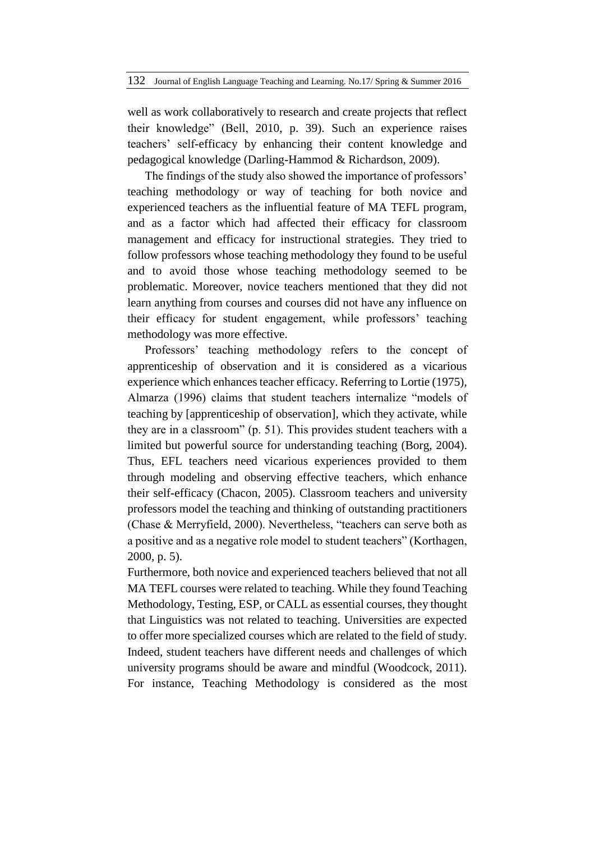well as work collaboratively to research and create projects that reflect their knowledge" (Bell, 2010, p. 39). Such an experience raises teachers' self-efficacy by enhancing their content knowledge and pedagogical knowledge (Darling-Hammod & Richardson, 2009).

The findings of the study also showed the importance of professors' teaching methodology or way of teaching for both novice and experienced teachers as the influential feature of MA TEFL program, and as a factor which had affected their efficacy for classroom management and efficacy for instructional strategies. They tried to follow professors whose teaching methodology they found to be useful and to avoid those whose teaching methodology seemed to be problematic. Moreover, novice teachers mentioned that they did not learn anything from courses and courses did not have any influence on their efficacy for student engagement, while professors' teaching methodology was more effective.

Professors' teaching methodology refers to the concept of apprenticeship of observation and it is considered as a vicarious experience which enhances teacher efficacy. Referring to Lortie (1975), Almarza (1996) claims that student teachers internalize "models of teaching by [apprenticeship of observation], which they activate, while they are in a classroom" (p. 51). This provides student teachers with a limited but powerful source for understanding teaching (Borg, 2004). Thus, EFL teachers need vicarious experiences provided to them through modeling and observing effective teachers, which enhance their self-efficacy (Chacon, 2005). Classroom teachers and university professors model the teaching and thinking of outstanding practitioners (Chase & Merryfield, 2000). Nevertheless, "teachers can serve both as a positive and as a negative role model to student teachers" (Korthagen, 2000, p. 5).

Furthermore, both novice and experienced teachers believed that not all MA TEFL courses were related to teaching. While they found Teaching Methodology, Testing, ESP, or CALL as essential courses, they thought that Linguistics was not related to teaching. Universities are expected to offer more specialized courses which are related to the field of study. Indeed, student teachers have different needs and challenges of which university programs should be aware and mindful (Woodcock, 2011). For instance, Teaching Methodology is considered as the most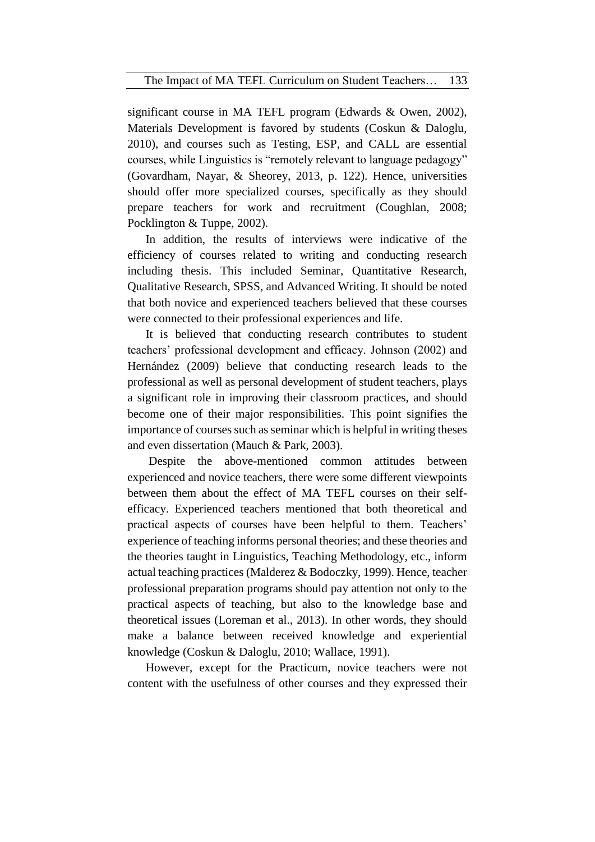significant course in MA TEFL program (Edwards & Owen, 2002), Materials Development is favored by students (Coskun & Daloglu, 2010), and courses such as Testing, ESP, and CALL are essential courses, while Linguistics is "remotely relevant to language pedagogy" (Govardham, Nayar, & Sheorey, 2013, p. 122). Hence, universities should offer more specialized courses, specifically as they should prepare teachers for work and recruitment (Coughlan, 2008; Pocklington & Tuppe, 2002).

In addition, the results of interviews were indicative of the efficiency of courses related to writing and conducting research including thesis. This included Seminar, Quantitative Research, Qualitative Research, SPSS, and Advanced Writing. It should be noted that both novice and experienced teachers believed that these courses were connected to their professional experiences and life.

It is believed that conducting research contributes to student teachers' professional development and efficacy. Johnson (2002) and Hernández (2009) believe that conducting research leads to the professional as well as personal development of student teachers, plays a significant role in improving their classroom practices, and should become one of their major responsibilities. This point signifies the importance of courses such as seminar which is helpful in writing theses and even dissertation (Mauch & Park, 2003).

Despite the above-mentioned common attitudes between experienced and novice teachers, there were some different viewpoints between them about the effect of MA TEFL courses on their selfefficacy. Experienced teachers mentioned that both theoretical and practical aspects of courses have been helpful to them. Teachers' experience of teaching informs personal theories; and these theories and the theories taught in Linguistics, Teaching Methodology, etc., inform actual teaching practices (Malderez & Bodoczky, 1999). Hence, teacher professional preparation programs should pay attention not only to the practical aspects of teaching, but also to the knowledge base and theoretical issues (Loreman et al., 2013). In other words, they should make a balance between received knowledge and experiential knowledge (Coskun & Daloglu, 2010; Wallace, 1991).

However, except for the Practicum, novice teachers were not content with the usefulness of other courses and they expressed their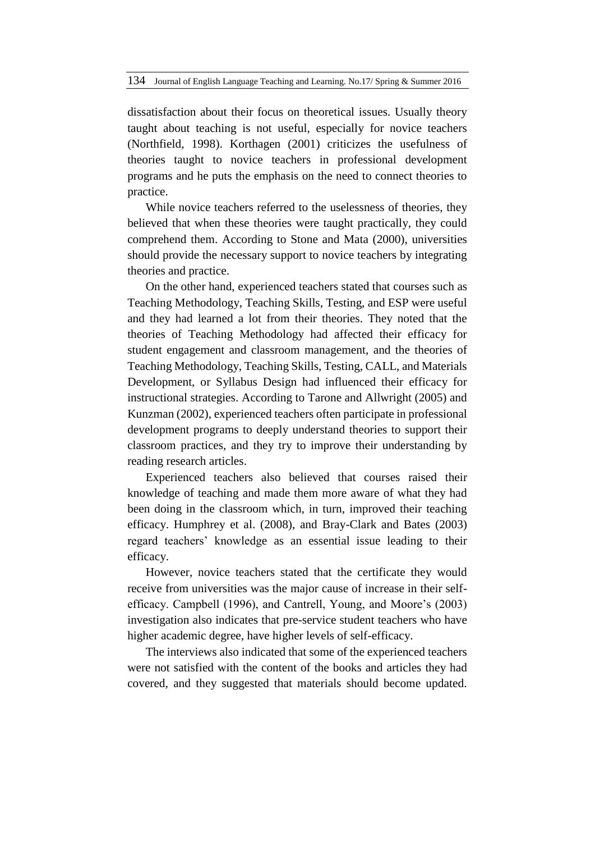dissatisfaction about their focus on theoretical issues. Usually theory taught about teaching is not useful, especially for novice teachers (Northfield, 1998). Korthagen (2001) criticizes the usefulness of theories taught to novice teachers in professional development programs and he puts the emphasis on the need to connect theories to practice.

While novice teachers referred to the uselessness of theories, they believed that when these theories were taught practically, they could comprehend them. According to Stone and Mata (2000), universities should provide the necessary support to novice teachers by integrating theories and practice.

On the other hand, experienced teachers stated that courses such as Teaching Methodology, Teaching Skills, Testing, and ESP were useful and they had learned a lot from their theories. They noted that the theories of Teaching Methodology had affected their efficacy for student engagement and classroom management, and the theories of Teaching Methodology, Teaching Skills, Testing, CALL, and Materials Development, or Syllabus Design had influenced their efficacy for instructional strategies. According to Tarone and Allwright (2005) and Kunzman (2002), experienced teachers often participate in professional development programs to deeply understand theories to support their classroom practices, and they try to improve their understanding by reading research articles.

Experienced teachers also believed that courses raised their knowledge of teaching and made them more aware of what they had been doing in the classroom which, in turn, improved their teaching efficacy. Humphrey et al. (2008), and Bray-Clark and Bates (2003) regard teachers' knowledge as an essential issue leading to their efficacy.

However, novice teachers stated that the certificate they would receive from universities was the major cause of increase in their selfefficacy. Campbell (1996), and Cantrell, Young, and Moore's (2003) investigation also indicates that pre-service student teachers who have higher academic degree, have higher levels of self-efficacy.

The interviews also indicated that some of the experienced teachers were not satisfied with the content of the books and articles they had covered, and they suggested that materials should become updated.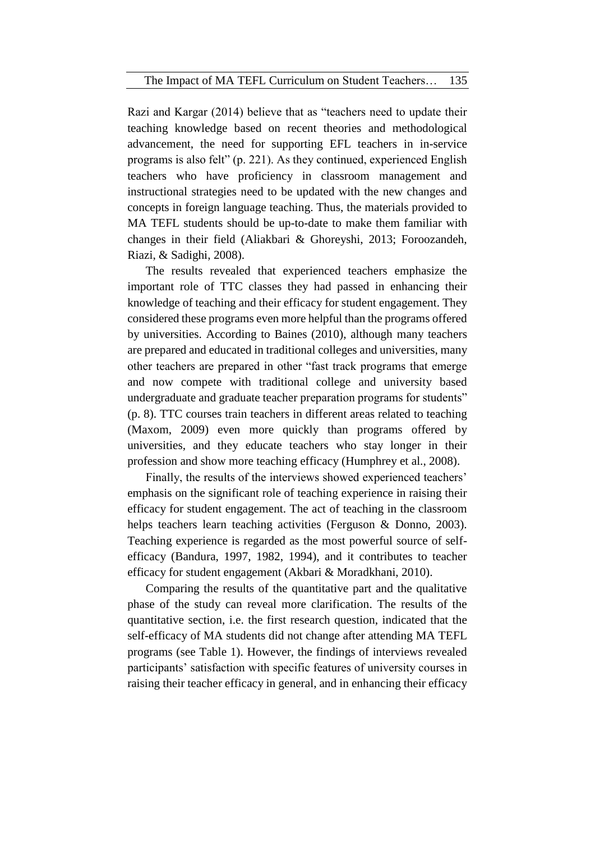Razi and Kargar (2014) believe that as "teachers need to update their teaching knowledge based on recent theories and methodological advancement, the need for supporting EFL teachers in in-service programs is also felt" (p. 221). As they continued, experienced English teachers who have proficiency in classroom management and instructional strategies need to be updated with the new changes and concepts in foreign language teaching. Thus, the materials provided to MA TEFL students should be up-to-date to make them familiar with changes in their field (Aliakbari & Ghoreyshi, 2013; Foroozandeh, Riazi, & Sadighi, 2008).

The results revealed that experienced teachers emphasize the important role of TTC classes they had passed in enhancing their knowledge of teaching and their efficacy for student engagement. They considered these programs even more helpful than the programs offered by universities. According to Baines (2010), although many teachers are prepared and educated in traditional colleges and universities, many other teachers are prepared in other "fast track programs that emerge and now compete with traditional college and university based undergraduate and graduate teacher preparation programs for students" (p. 8). TTC courses train teachers in different areas related to teaching (Maxom, 2009) even more quickly than programs offered by universities, and they educate teachers who stay longer in their profession and show more teaching efficacy (Humphrey et al., 2008).

Finally, the results of the interviews showed experienced teachers' emphasis on the significant role of teaching experience in raising their efficacy for student engagement. The act of teaching in the classroom helps teachers learn teaching activities (Ferguson & Donno, 2003). Teaching experience is regarded as the most powerful source of selfefficacy (Bandura, 1997, 1982, 1994), and it contributes to teacher efficacy for student engagement (Akbari & Moradkhani, 2010).

Comparing the results of the quantitative part and the qualitative phase of the study can reveal more clarification. The results of the quantitative section, i.e. the first research question, indicated that the self-efficacy of MA students did not change after attending MA TEFL programs (see Table 1). However, the findings of interviews revealed participants' satisfaction with specific features of university courses in raising their teacher efficacy in general, and in enhancing their efficacy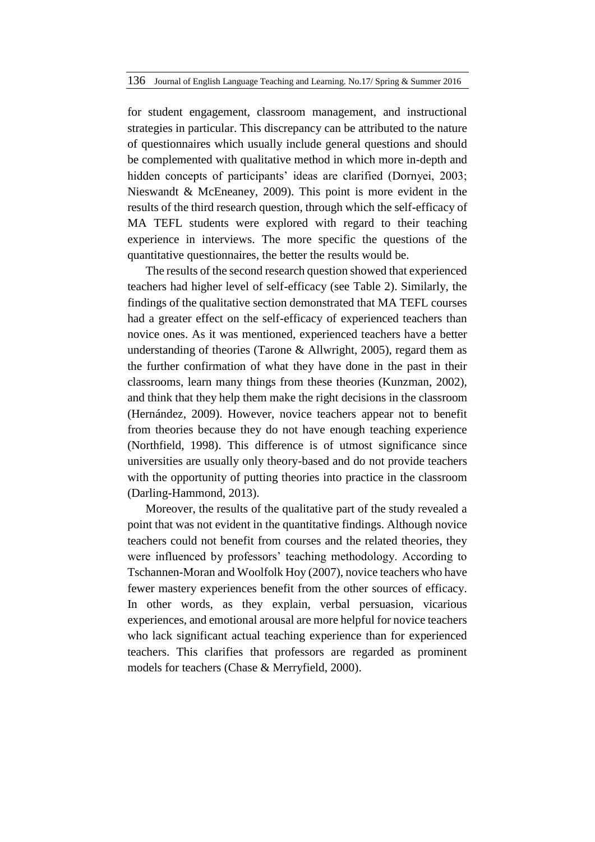for student engagement, classroom management, and instructional strategies in particular. This discrepancy can be attributed to the nature of questionnaires which usually include general questions and should be complemented with qualitative method in which more in-depth and hidden concepts of participants' ideas are clarified (Dornyei, 2003; Nieswandt & McEneaney, 2009). This point is more evident in the results of the third research question, through which the self-efficacy of MA TEFL students were explored with regard to their teaching experience in interviews. The more specific the questions of the quantitative questionnaires, the better the results would be.

The results of the second research question showed that experienced teachers had higher level of self-efficacy (see Table 2). Similarly, the findings of the qualitative section demonstrated that MA TEFL courses had a greater effect on the self-efficacy of experienced teachers than novice ones. As it was mentioned, experienced teachers have a better understanding of theories (Tarone & Allwright, 2005), regard them as the further confirmation of what they have done in the past in their classrooms, learn many things from these theories (Kunzman, 2002), and think that they help them make the right decisions in the classroom (Hernández, 2009). However, novice teachers appear not to benefit from theories because they do not have enough teaching experience (Northfield, 1998). This difference is of utmost significance since universities are usually only theory-based and do not provide teachers with the opportunity of putting theories into practice in the classroom (Darling-Hammond, 2013).

Moreover, the results of the qualitative part of the study revealed a point that was not evident in the quantitative findings. Although novice teachers could not benefit from courses and the related theories, they were influenced by professors' teaching methodology. According to Tschannen-Moran and Woolfolk Hoy (2007), novice teachers who have fewer mastery experiences benefit from the other sources of efficacy. In other words, as they explain, verbal persuasion, vicarious experiences, and emotional arousal are more helpful for novice teachers who lack significant actual teaching experience than for experienced teachers. This clarifies that professors are regarded as prominent models for teachers (Chase & Merryfield, 2000).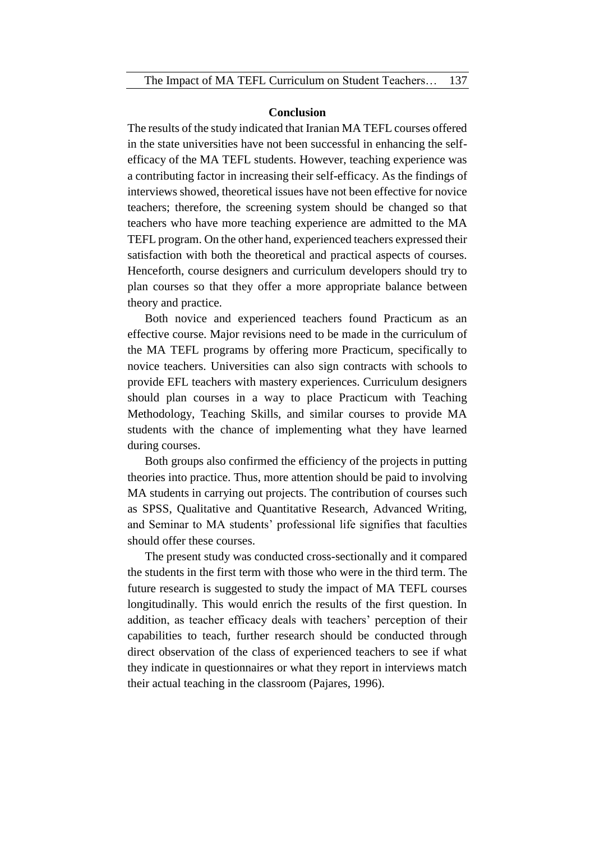#### **Conclusion**

The results of the study indicated that Iranian MA TEFL courses offered in the state universities have not been successful in enhancing the selfefficacy of the MA TEFL students. However, teaching experience was a contributing factor in increasing their self-efficacy. As the findings of interviews showed, theoretical issues have not been effective for novice teachers; therefore, the screening system should be changed so that teachers who have more teaching experience are admitted to the MA TEFL program. On the other hand, experienced teachers expressed their satisfaction with both the theoretical and practical aspects of courses. Henceforth, course designers and curriculum developers should try to plan courses so that they offer a more appropriate balance between theory and practice.

Both novice and experienced teachers found Practicum as an effective course. Major revisions need to be made in the curriculum of the MA TEFL programs by offering more Practicum, specifically to novice teachers. Universities can also sign contracts with schools to provide EFL teachers with mastery experiences. Curriculum designers should plan courses in a way to place Practicum with Teaching Methodology, Teaching Skills, and similar courses to provide MA students with the chance of implementing what they have learned during courses.

Both groups also confirmed the efficiency of the projects in putting theories into practice. Thus, more attention should be paid to involving MA students in carrying out projects. The contribution of courses such as SPSS, Qualitative and Quantitative Research, Advanced Writing, and Seminar to MA students' professional life signifies that faculties should offer these courses.

The present study was conducted cross-sectionally and it compared the students in the first term with those who were in the third term. The future research is suggested to study the impact of MA TEFL courses longitudinally. This would enrich the results of the first question. In addition, as teacher efficacy deals with teachers' perception of their capabilities to teach, further research should be conducted through direct observation of the class of experienced teachers to see if what they indicate in questionnaires or what they report in interviews match their actual teaching in the classroom (Pajares, 1996).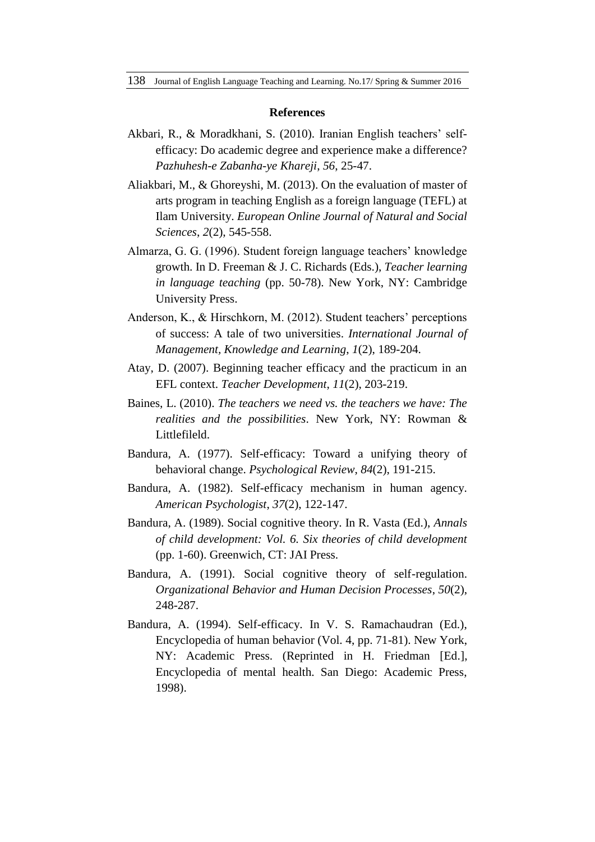#### **References**

- Akbari, R., & Moradkhani, S. (2010). Iranian English teachers' selfefficacy: Do academic degree and experience make a difference? *Pazhuhesh-e Zabanha-ye Khareji*, *56*, 25-47.
- Aliakbari, M., & Ghoreyshi, M. (2013). On the evaluation of master of arts program in teaching English as a foreign language (TEFL) at Ilam University. *European Online Journal of Natural and Social Sciences*, *2*(2), 545-558.
- Almarza, G. G. (1996). Student foreign language teachers' knowledge growth. In D. Freeman & J. C. Richards (Eds.), *Teacher learning in language teaching* (pp. 50-78). New York, NY: Cambridge University Press.
- Anderson, K., & Hirschkorn, M. (2012). Student teachers' perceptions of success: A tale of two universities. *International Journal of Management, Knowledge and Learning*, *1*(2), 189-204.
- Atay, D. (2007). Beginning teacher efficacy and the practicum in an EFL context. *Teacher Development*, *11*(2), 203-219.
- Baines, L. (2010). *The teachers we need vs. the teachers we have: The realities and the possibilities*. New York, NY: Rowman & Littlefileld.
- Bandura, A. (1977). Self-efficacy: Toward a unifying theory of behavioral change. *Psychological Review*, *84*(2), 191-215.
- Bandura, A. (1982). Self-efficacy mechanism in human agency. *American Psychologist*, *37*(2), 122-147.
- Bandura, A. (1989). Social cognitive theory. In R. Vasta (Ed.), *Annals of child development: Vol. 6. Six theories of child development* (pp. 1-60). Greenwich, CT: JAI Press.
- Bandura, A. (1991). Social cognitive theory of self-regulation. *Organizational Behavior and Human Decision Processes*, *50*(2), 248-287.
- Bandura, A. (1994). Self-efficacy. In V. S. Ramachaudran (Ed.), Encyclopedia of human behavior (Vol. 4, pp. 71-81). New York, NY: Academic Press. (Reprinted in H. Friedman [Ed.], Encyclopedia of mental health. San Diego: Academic Press, 1998).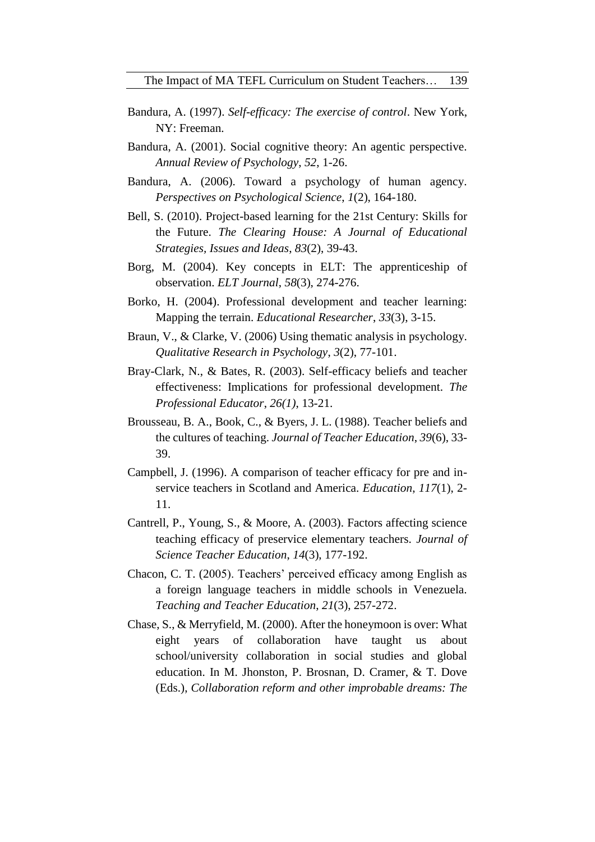- Bandura, A. (1997). *Self-efficacy: The exercise of control*. New York, NY: Freeman.
- Bandura, A. (2001). Social cognitive theory: An agentic perspective. *Annual Review of Psychology*, *52*, 1-26.
- Bandura, A. (2006). Toward a psychology of human agency. *Perspectives on Psychological Science*, *1*(2), 164-180.
- Bell, S. (2010). Project-based learning for the 21st Century: Skills for the Future. *The Clearing House: A Journal of Educational Strategies, Issues and Ideas*, *83*(2), 39-43.
- Borg, M. (2004). Key concepts in ELT: The apprenticeship of observation. *ELT Journal*, *58*(3), 274-276.
- Borko, H. (2004). Professional development and teacher learning: Mapping the terrain. *Educational Researcher*, *33*(3), 3-15.
- Braun, V., & Clarke, V. (2006) Using thematic analysis in psychology. *Qualitative Research in Psychology*, *3*(2), 77-101.
- Bray-Clark, N., & Bates, R. (2003). Self-efficacy beliefs and teacher effectiveness: Implications for professional development. *The Professional Educator*, *26(1)*, 13-21.
- Brousseau, B. A., Book, C., & Byers, J. L. (1988). Teacher beliefs and the cultures of teaching. *Journal of Teacher Education*, *39*(6), 33- 39.
- Campbell, J. (1996). A comparison of teacher efficacy for pre and inservice teachers in Scotland and America. *Education*, *117*(1), 2- 11.
- Cantrell, P., Young, S., & Moore, A. (2003). Factors affecting science teaching efficacy of preservice elementary teachers. *Journal of Science Teacher Education*, *14*(3), 177-192.
- Chacon, C. T. (2005). Teachers' perceived efficacy among English as a foreign language teachers in middle schools in Venezuela. *Teaching and Teacher Education*, *21*(3), 257-272.
- Chase, S., & Merryfield, M. (2000). After the honeymoon is over: What eight years of collaboration have taught us about school/university collaboration in social studies and global education. In M. Jhonston, P. Brosnan, D. Cramer, & T. Dove (Eds.), *Collaboration reform and other improbable dreams: The*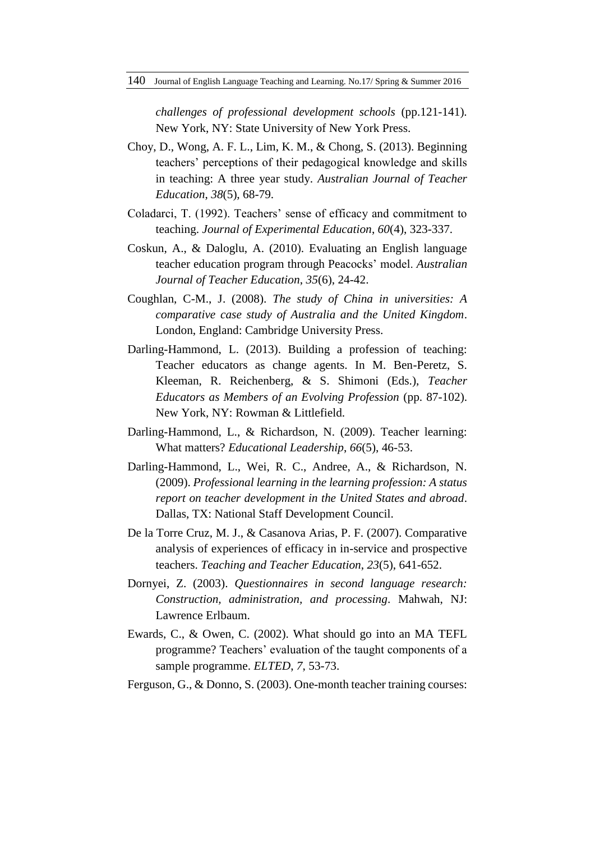*challenges of professional development schools* (pp.121-141)*.* New York, NY: State University of New York Press.

- Choy, D., Wong, A. F. L., Lim, K. M., & Chong, S. (2013). Beginning teachers' perceptions of their pedagogical knowledge and skills in teaching: A three year study. *Australian Journal of Teacher Education*, *38*(5), 68-79.
- Coladarci, T. (1992). Teachers' sense of efficacy and commitment to teaching. *Journal of Experimental Education*, *60*(4), 323-337.
- Coskun, A., & Daloglu, A. (2010). Evaluating an English language teacher education program through Peacocks' model. *Australian Journal of Teacher Education*, *35*(6), 24-42.
- Coughlan, C-M., J. (2008). *The study of China in universities: A comparative case study of Australia and the United Kingdom*. London, England: Cambridge University Press.
- Darling-Hammond, L. (2013). Building a profession of teaching: Teacher educators as change agents. In M. Ben-Peretz, S. Kleeman, R. Reichenberg, & S. Shimoni (Eds.), *Teacher Educators as Members of an Evolving Profession* (pp. 87-102). New York, NY: Rowman & Littlefield.
- Darling-Hammond, L., & Richardson, N. (2009). Teacher learning: What matters? *Educational Leadership*, *66*(5), 46-53.
- Darling-Hammond, L., Wei, R. C., Andree, A., & Richardson, N. (2009). *Professional learning in the learning profession: A status report on teacher development in the United States and abroad*. Dallas, TX: National Staff Development Council.
- De la Torre Cruz, M. J., & Casanova Arias, P. F. (2007). Comparative analysis of experiences of efficacy in in-service and prospective teachers. *Teaching and Teacher Education*, *23*(5), 641-652.
- Dornyei, Z. (2003). *Questionnaires in second language research: Construction, administration, and processing*. Mahwah, NJ: Lawrence Erlbaum.
- Ewards, C., & Owen, C. (2002). What should go into an MA TEFL programme? Teachers' evaluation of the taught components of a sample programme. *ELTED*, *7*, 53-73.
- Ferguson, G., & Donno, S. (2003). One-month teacher training courses: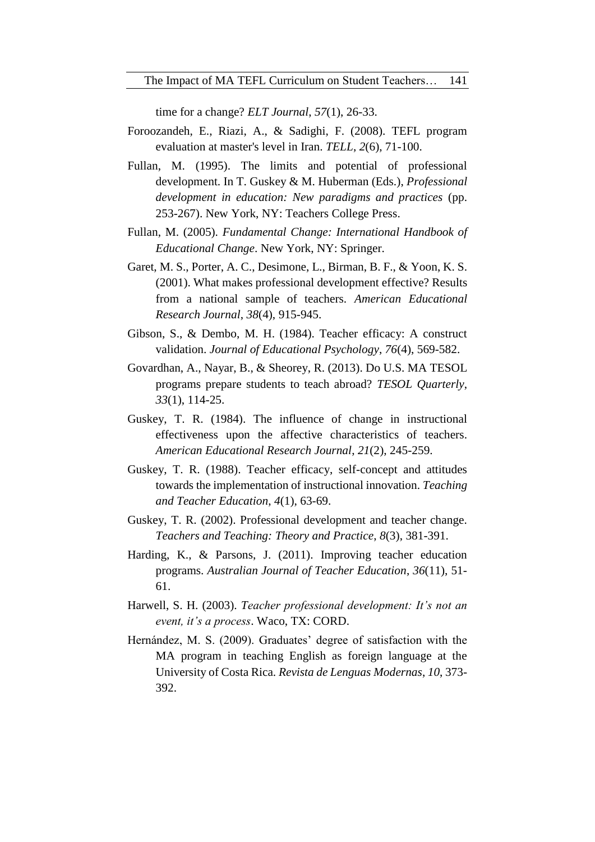time for a change? *ELT Journal*, *57*(1), 26-33.

- Foroozandeh, E., Riazi, A., & Sadighi, F. (2008). TEFL program evaluation at master's level in Iran. *TELL*, *2*(6), 71-100.
- Fullan, M. (1995). The limits and potential of professional development. In T. Guskey & M. Huberman (Eds.), *Professional development in education: New paradigms and practices* (pp. 253-267). New York, NY: Teachers College Press.
- Fullan, M. (2005). *Fundamental Change: International Handbook of Educational Change*. New York, NY: Springer.
- Garet, M. S., Porter, A. C., Desimone, L., Birman, B. F., & Yoon, K. S. (2001). What makes professional development effective? Results from a national sample of teachers. *American Educational Research Journal*, *38*(4), 915-945.
- Gibson, S., & Dembo, M. H. (1984). Teacher efficacy: A construct validation. *Journal of Educational Psychology*, *76*(4), 569-582.
- Govardhan, A., Nayar, B., & Sheorey, R. (2013). Do U.S. MA TESOL programs prepare students to teach abroad? *TESOL Quarterly*, *33*(1), 114-25.
- Guskey, T. R. (1984). The influence of change in instructional effectiveness upon the affective characteristics of teachers. *American Educational Research Journal*, *21*(2), 245-259.
- Guskey, T. R. (1988). Teacher efficacy, self-concept and attitudes towards the implementation of instructional innovation. *Teaching and Teacher Education*, *4*(1), 63-69.
- Guskey, T. R. (2002). Professional development and teacher change. *Teachers and Teaching: Theory and Practice*, *8*(3), 381-391.
- Harding, K., & Parsons, J. (2011). Improving teacher education programs. *Australian Journal of Teacher Education*, *36*(11), 51- 61.
- Harwell, S. H. (2003). *Teacher professional development: It's not an event, it's a process*. Waco, TX: CORD.
- Hernández, M. S. (2009). Graduates' degree of satisfaction with the MA program in teaching English as foreign language at the University of Costa Rica. *Revista de Lenguas Modernas*, *10*, 373- 392.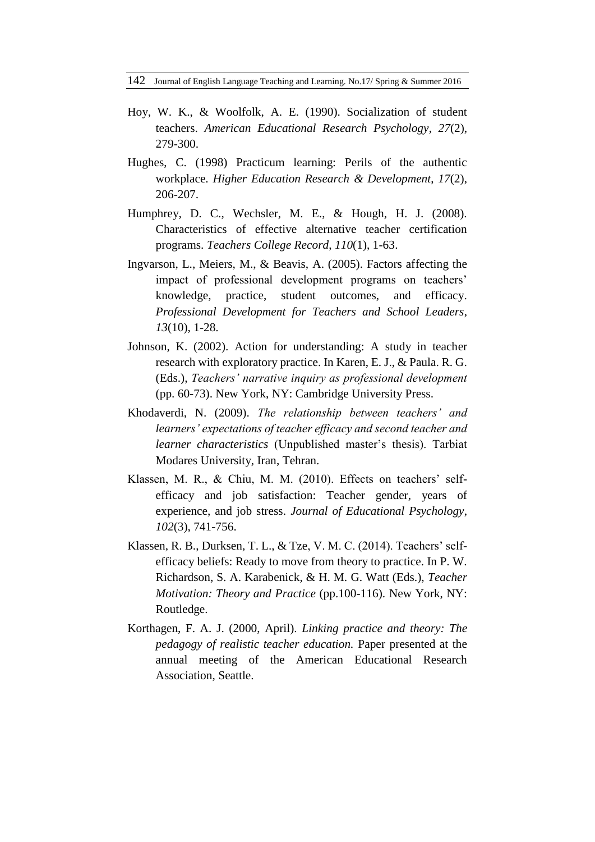142 Journal of English Language Teaching and Learning. No.17/ Spring & Summer 2016

- Hoy, W. K., & Woolfolk, A. E. (1990). Socialization of student teachers. *American Educational Research Psychology*, *27*(2), 279-300.
- Hughes, C. (1998) Practicum learning: Perils of the authentic workplace. *Higher Education Research & Development*, *17*(2), 206-207.
- Humphrey, D. C., Wechsler, M. E., & Hough, H. J. (2008). Characteristics of effective alternative teacher certification programs. *Teachers College Record*, *110*(1), 1-63.
- Ingvarson, L., Meiers, M., & Beavis, A. (2005). Factors affecting the impact of professional development programs on teachers' knowledge, practice, student outcomes, and efficacy. *Professional Development for Teachers and School Leaders*, *13*(10), 1-28.
- Johnson, K. (2002). Action for understanding: A study in teacher research with exploratory practice. In Karen, E. J., & Paula. R. G. (Eds.), *Teachers' narrative inquiry as professional development*  (pp. 60-73). New York, NY: Cambridge University Press.
- Khodaverdi, N. (2009). *The relationship between teachers' and learners' expectations of teacher efficacy and second teacher and learner characteristics* (Unpublished master's thesis). Tarbiat Modares University, Iran, Tehran.
- Klassen, M. R., & Chiu, M. M. (2010). Effects on teachers' selfefficacy and job satisfaction: Teacher gender, years of experience, and job stress. *Journal of Educational Psychology*, *102*(3), 741-756.
- Klassen, R. B., Durksen, T. L., & Tze, V. M. C. (2014). Teachers' selfefficacy beliefs: Ready to move from theory to practice. In P. W. Richardson, S. A. Karabenick, & H. M. G. Watt (Eds.), *Teacher Motivation: Theory and Practice* (pp.100-116). New York, NY: Routledge.
- Korthagen, F. A. J. (2000, April). *Linking practice and theory: The pedagogy of realistic teacher education.* Paper presented at the annual meeting of the American Educational Research Association, Seattle.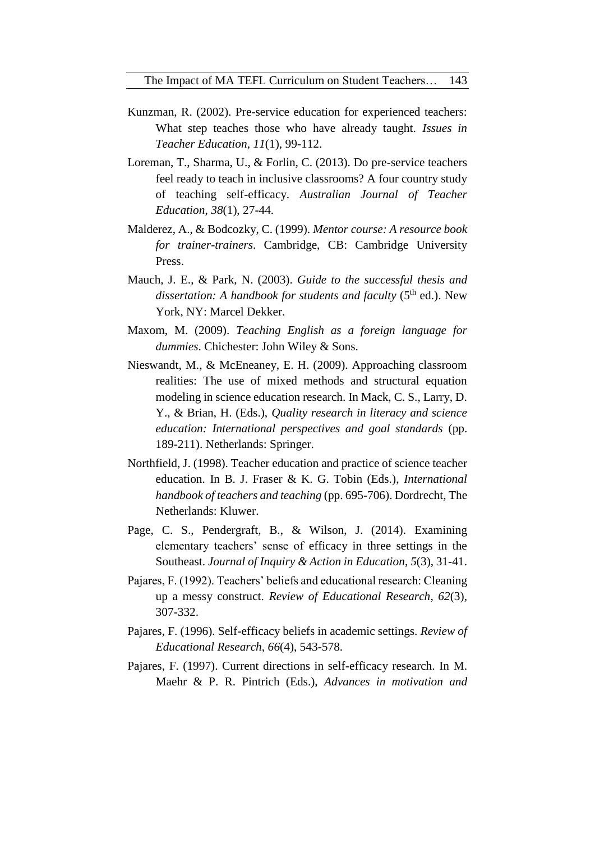- Kunzman, R. (2002). Pre-service education for experienced teachers: What step teaches those who have already taught. *Issues in Teacher Education*, *11*(1), 99-112.
- Loreman, T., Sharma, U., & Forlin, C. (2013). Do pre-service teachers feel ready to teach in inclusive classrooms? A four country study of teaching self-efficacy. *Australian Journal of Teacher Education*, *38*(1), 27-44.
- Malderez, A., & Bodcozky, C. (1999). *Mentor course: A resource book for trainer-trainers*. Cambridge, CB: Cambridge University Press.
- Mauch, J. E., & Park, N. (2003). *Guide to the successful thesis and* dissertation: A handbook for students and faculty (5<sup>th</sup> ed.). New York, NY: Marcel Dekker.
- Maxom, M. (2009). *Teaching English as a foreign language for dummies*. Chichester: John Wiley & Sons.
- Nieswandt, M., & McEneaney, E. H. (2009). Approaching classroom realities: The use of mixed methods and structural equation modeling in science education research. In Mack, C. S., Larry, D. Y., & Brian, H. (Eds.), *Quality research in literacy and science education: International perspectives and goal standards* (pp. 189-211). Netherlands: Springer.
- Northfield, J. (1998). Teacher education and practice of science teacher education. In B. J. Fraser & K. G. Tobin (Eds.), *International handbook of teachers and teaching* (pp. 695-706). Dordrecht, The Netherlands: Kluwer.
- Page, C. S., Pendergraft, B., & Wilson, J. (2014). Examining elementary teachers' sense of efficacy in three settings in the Southeast. *Journal of Inquiry & Action in Education*, *5*(3), 31-41.
- Pajares, F. (1992). Teachers' beliefs and educational research: Cleaning up a messy construct. *Review of Educational Research*, *62*(3), 307-332.
- Pajares, F. (1996). Self-efficacy beliefs in academic settings. *Review of Educational Research*, *66*(4), 543-578.
- Pajares, F. (1997). Current directions in self-efficacy research. In M. Maehr & P. R. Pintrich (Eds.), *Advances in motivation and*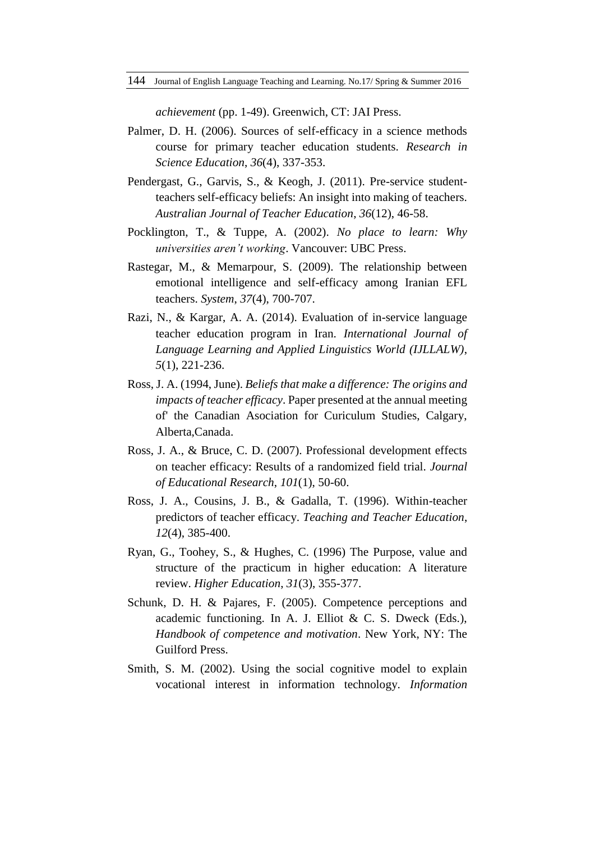*achievement* (pp. 1-49). Greenwich, CT: JAI Press.

- Palmer, D. H. (2006). Sources of self-efficacy in a science methods course for primary teacher education students. *Research in Science Education*, *36*(4), 337-353.
- Pendergast, G., Garvis, S., & Keogh, J. (2011). Pre-service studentteachers self-efficacy beliefs: An insight into making of teachers. *Australian Journal of Teacher Education*, *36*(12), 46-58.
- Pocklington, T., & Tuppe, A. (2002). *No place to learn: Why universities aren't working*. Vancouver: UBC Press.
- Rastegar, M., & Memarpour, S. (2009). The relationship between emotional intelligence and self-efficacy among Iranian EFL teachers. *System*, *37*(4), 700-707.
- Razi, N., & Kargar, A. A. (2014). Evaluation of in-service language teacher education program in Iran. *International Journal of Language Learning and Applied Linguistics World (IJLLALW)*, *5*(1), 221-236.
- Ross, J. A. (1994, June). *Beliefs that make a difference: The origins and impacts of teacher efficacy*. Paper presented at the annual meeting of' the Canadian Asociation for Curiculum Studies, Calgary, Alberta,Canada.
- Ross, J. A., & Bruce, C. D. (2007). Professional development effects on teacher efficacy: Results of a randomized field trial. *Journal of Educational Research*, *101*(1), 50-60.
- Ross, J. A., Cousins, J. B., & Gadalla, T. (1996). Within-teacher predictors of teacher efficacy. *Teaching and Teacher Education*, *12*(4), 385-400.
- Ryan, G., Toohey, S., & Hughes, C. (1996) The Purpose, value and structure of the practicum in higher education: A literature review. *Higher Education*, *31*(3), 355-377.
- Schunk, D. H. & Pajares, F. (2005). Competence perceptions and academic functioning. In A. J. Elliot & C. S. Dweck (Eds.), *Handbook of competence and motivation*. New York, NY: The Guilford Press.
- Smith, S. M. (2002). Using the social cognitive model to explain vocational interest in information technology. *Information*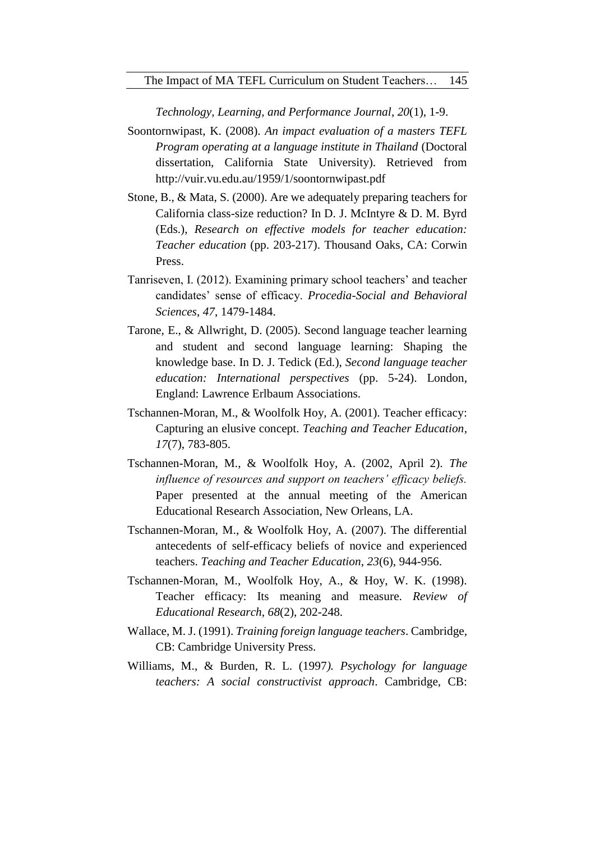*Technology, Learning, and Performance Journal*, *20*(1), 1-9.

- Soontornwipast, K. (2008). *An impact evaluation of a masters TEFL Program operating at a language institute in Thailand* (Doctoral dissertation, California State University). Retrieved from [http://vuir.vu.](http://vuir.vu/)edu.au/1959/1/soontornwipast.pdf
- Stone, B., & Mata, S. (2000). Are we adequately preparing teachers for California class-size reduction? In D. J. McIntyre & D. M. Byrd (Eds.), *Research on effective models for teacher education: Teacher education* (pp. 203-217). Thousand Oaks, CA: Corwin Press.
- Tanriseven, I. (2012). Examining primary school teachers' and teacher candidates' sense of efficacy. *Procedia-Social and Behavioral Sciences*, *47*, 1479-1484.
- Tarone, E., & Allwright, D. (2005). Second language teacher learning and student and second language learning: Shaping the knowledge base. In D. J. Tedick (Ed.), *Second language teacher education: International perspectives* (pp. 5-24). London, England: Lawrence Erlbaum Associations.
- Tschannen-Moran, M., & Woolfolk Hoy, A. (2001). Teacher efficacy: Capturing an elusive concept. *Teaching and Teacher Education*, *17*(7), 783-805.
- Tschannen-Moran, M., & Woolfolk Hoy, A. (2002, April 2). *The influence of resources and support on teachers' efficacy beliefs.*  Paper presented at the annual meeting of the American Educational Research Association, New Orleans, LA.
- Tschannen-Moran, M., & Woolfolk Hoy, A. (2007). The differential antecedents of self-efficacy beliefs of novice and experienced teachers. *Teaching and Teacher Education*, *23*(6), 944-956.
- Tschannen-Moran, M., Woolfolk Hoy, A., & Hoy, W. K. (1998). Teacher efficacy: Its meaning and measure. *Review of Educational Research*, *68*(2), 202-248.
- Wallace, M. J. (1991). *Training foreign language teachers*. Cambridge, CB: Cambridge University Press.
- Williams, M., & Burden, R. L. (1997*). Psychology for language teachers: A social constructivist approach*. Cambridge, CB: